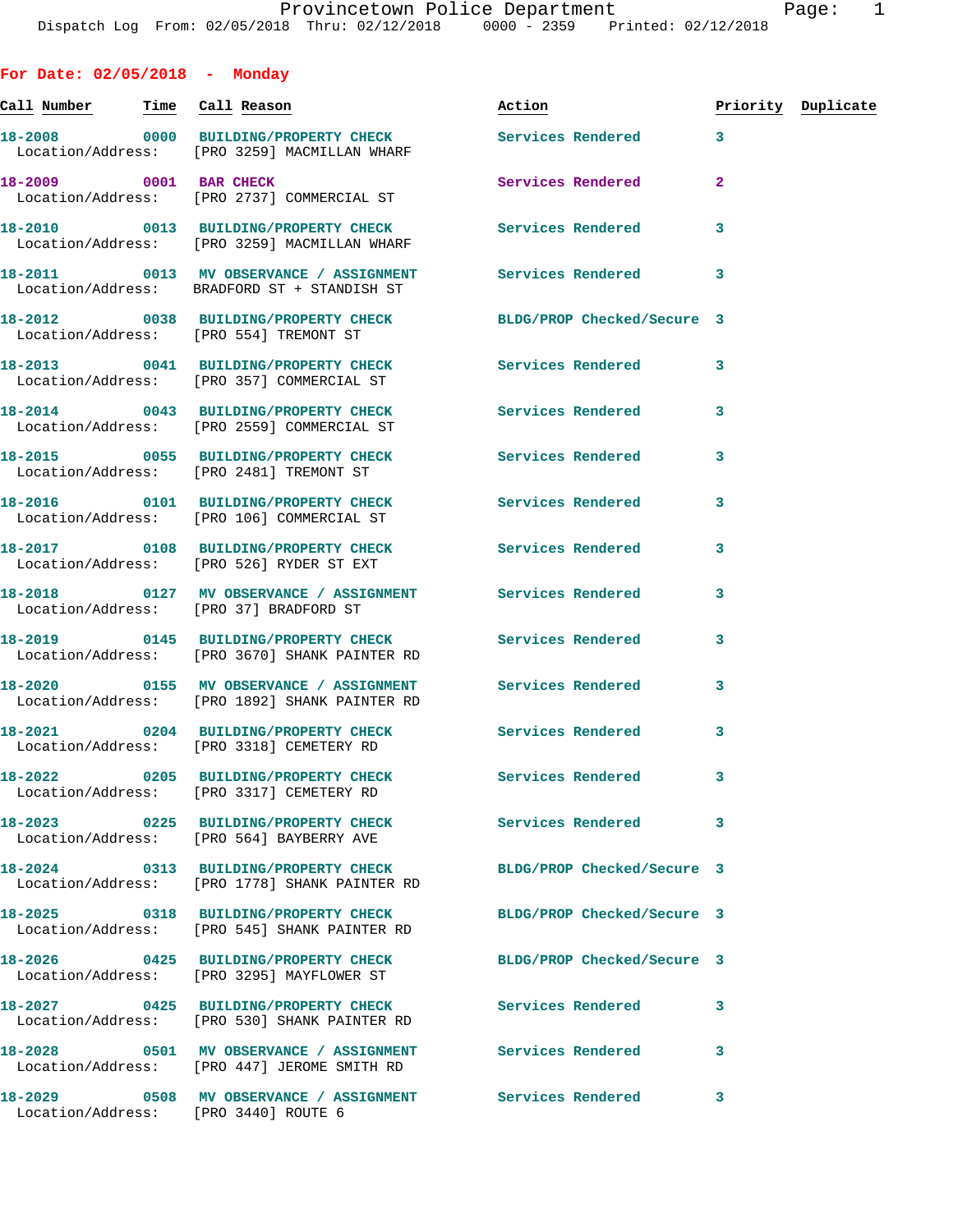**For Date: 02/05/2018 - Monday Call Number Time Call Reason Action Priority Duplicate 18-2008 0000 BUILDING/PROPERTY CHECK Services Rendered 3**  Location/Address: [PRO 3259] MACMILLAN WHARF **18-2009 0001 BAR CHECK Services Rendered 2**  Location/Address: [PRO 2737] COMMERCIAL ST **18-2010 0013 BUILDING/PROPERTY CHECK Services Rendered 3**  Location/Address: [PRO 3259] MACMILLAN WHARF **18-2011 0013 MV OBSERVANCE / ASSIGNMENT Services Rendered 3**  Location/Address: BRADFORD ST + STANDISH ST **18-2012 0038 BUILDING/PROPERTY CHECK BLDG/PROP Checked/Secure 3**  Location/Address: [PRO 554] TREMONT ST **18-2013 0041 BUILDING/PROPERTY CHECK Services Rendered 3**  Location/Address: [PRO 357] COMMERCIAL ST **18-2014 0043 BUILDING/PROPERTY CHECK Services Rendered 3**  Location/Address: [PRO 2559] COMMERCIAL ST **18-2015 0055 BUILDING/PROPERTY CHECK Services Rendered 3**  Location/Address: [PRO 2481] TREMONT ST **18-2016 0101 BUILDING/PROPERTY CHECK Services Rendered 3**  Location/Address: [PRO 106] COMMERCIAL ST **18-2017 0108 BUILDING/PROPERTY CHECK Services Rendered 3**  Location/Address: [PRO 526] RYDER ST EXT **18-2018 0127 MV OBSERVANCE / ASSIGNMENT Services Rendered 3**  Location/Address: [PRO 37] BRADFORD ST **18-2019 0145 BUILDING/PROPERTY CHECK Services Rendered 3**  Location/Address: [PRO 3670] SHANK PAINTER RD **18-2020 0155 MV OBSERVANCE / ASSIGNMENT Services Rendered 3**  Location/Address: [PRO 1892] SHANK PAINTER RD **18-2021 0204 BUILDING/PROPERTY CHECK Services Rendered 3**  Location/Address: [PRO 3318] CEMETERY RD **18-2022 0205 BUILDING/PROPERTY CHECK Services Rendered 3**  Location/Address: [PRO 3317] CEMETERY RD **18-2023 0225 BUILDING/PROPERTY CHECK Services Rendered 3**  Location/Address: [PRO 564] BAYBERRY AVE **18-2024 0313 BUILDING/PROPERTY CHECK BLDG/PROP Checked/Secure 3**  Location/Address: [PRO 1778] SHANK PAINTER RD **18-2025 0318 BUILDING/PROPERTY CHECK BLDG/PROP Checked/Secure 3**  Location/Address: [PRO 545] SHANK PAINTER RD **18-2026 0425 BUILDING/PROPERTY CHECK BLDG/PROP Checked/Secure 3**  Location/Address: [PRO 3295] MAYFLOWER ST **18-2027 0425 BUILDING/PROPERTY CHECK Services Rendered 3**  Location/Address: [PRO 530] SHANK PAINTER RD **18-2028 0501 MV OBSERVANCE / ASSIGNMENT Services Rendered 3** 

[PRO 447] JEROME SMITH RD

**18-2029 0508 MV OBSERVANCE / ASSIGNMENT Services Rendered 3** 

Location/Address: [PRO 3440] ROUTE 6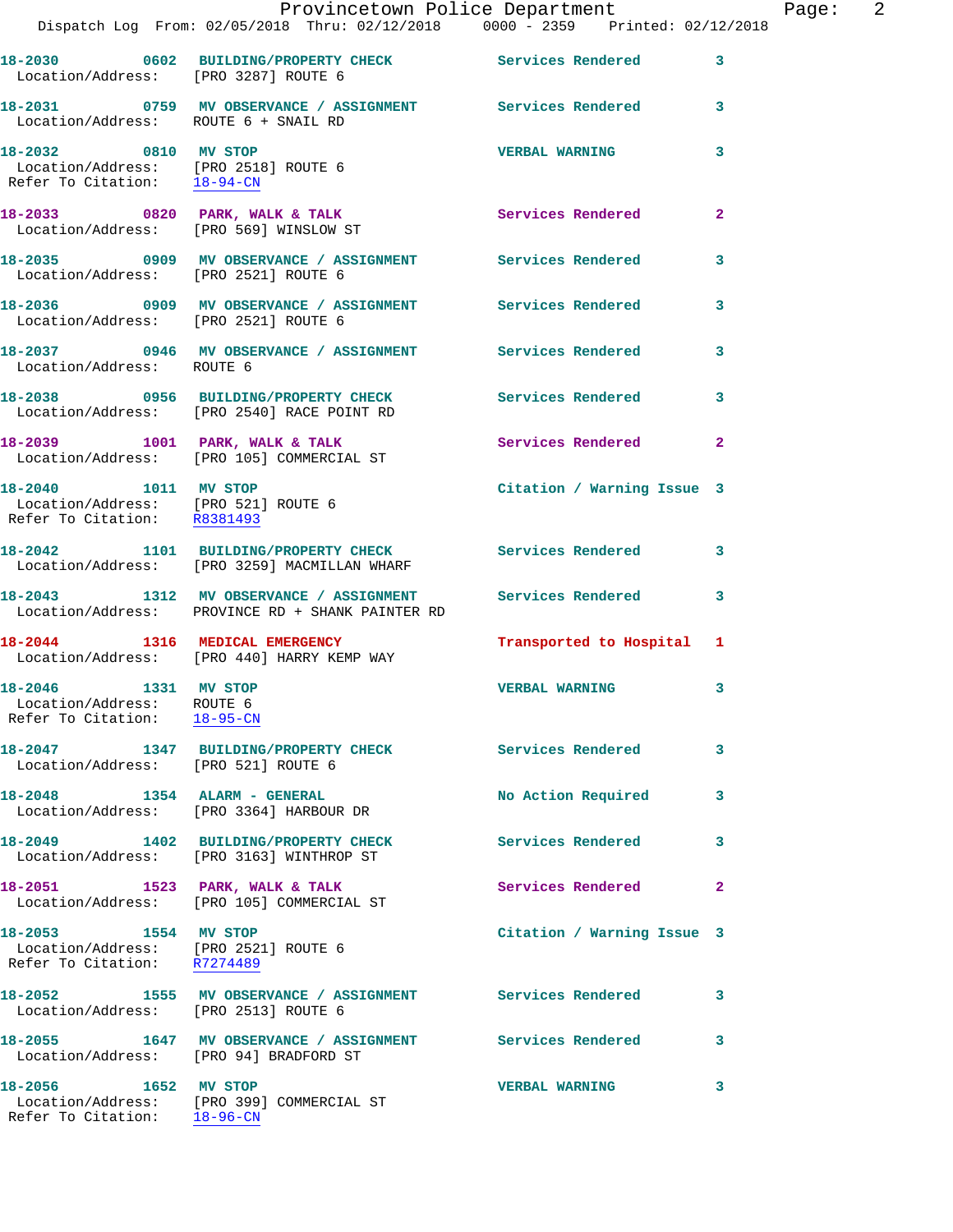| Location/Address: [PRO 3287] ROUTE 6                                                        | 18-2030 0602 BUILDING/PROPERTY CHECK Services Rendered 3                                                        |                            |                         |
|---------------------------------------------------------------------------------------------|-----------------------------------------------------------------------------------------------------------------|----------------------------|-------------------------|
| Location/Address: ROUTE 6 + SNAIL RD                                                        | 18-2031 0759 MV OBSERVANCE / ASSIGNMENT Services Rendered                                                       |                            | $\overline{\mathbf{3}}$ |
| 18-2032 0810 MV STOP<br>Location/Address: [PRO 2518] ROUTE 6<br>Refer To Citation: 18-94-CN |                                                                                                                 | <b>VERBAL WARNING</b>      | 3                       |
|                                                                                             | 18-2033 0820 PARK, WALK & TALK<br>Location/Address: [PRO 569] WINSLOW ST                                        | <b>Services Rendered</b>   | $\overline{2}$          |
| Location/Address: [PRO 2521] ROUTE 6                                                        | 18-2035 0909 MV OBSERVANCE / ASSIGNMENT Services Rendered                                                       |                            | $\mathbf{3}$            |
|                                                                                             |                                                                                                                 |                            | 3                       |
| Location/Address: ROUTE 6                                                                   | 18-2037 0946 MV OBSERVANCE / ASSIGNMENT Services Rendered                                                       |                            | 3                       |
|                                                                                             | 18-2038 0956 BUILDING/PROPERTY CHECK<br>Location/Address: [PRO 2540] RACE POINT RD                              | <b>Services Rendered</b>   | 3                       |
|                                                                                             | 18-2039 1001 PARK, WALK & TALK<br>Location/Address: [PRO 105] COMMERCIAL ST                                     | Services Rendered          | $\mathbf{2}$            |
| 18-2040 1011 MV STOP<br>Location/Address: [PRO 521] ROUTE 6<br>Refer To Citation: R8381493  |                                                                                                                 | Citation / Warning Issue 3 |                         |
|                                                                                             | 18-2042 1101 BUILDING/PROPERTY CHECK Services Rendered 3<br>Location/Address: [PRO 3259] MACMILLAN WHARF        |                            |                         |
|                                                                                             | 18-2043 1312 MV OBSERVANCE / ASSIGNMENT Services Rendered 3<br>Location/Address: PROVINCE RD + SHANK PAINTER RD |                            |                         |
|                                                                                             | 18-2044 1316 MEDICAL EMERGENCY<br>Location/Address: [PRO 440] HARRY KEMP WAY                                    | Transported to Hospital 1  |                         |
| 18-2046 1331 MV STOP<br>Location/Address: ROUTE 6<br>Refer To Citation: 18-95-CN            |                                                                                                                 | <b>VERBAL WARNING</b>      | 3                       |
| Location/Address: [PRO 521] ROUTE 6                                                         | 18-2047 1347 BUILDING/PROPERTY CHECK                                                                            | Services Rendered          | 3                       |
| 18-2048   1354   ALARM - GENERAL                                                            | Location/Address: [PRO 3364] HARBOUR DR                                                                         | No Action Required         | 3                       |
|                                                                                             | 18-2049 1402 BUILDING/PROPERTY CHECK<br>Location/Address: [PRO 3163] WINTHROP ST                                | <b>Services Rendered</b>   | 3                       |
|                                                                                             | 18-2051 1523 PARK, WALK & TALK<br>Location/Address: [PRO 105] COMMERCIAL ST                                     | Services Rendered 2        |                         |
| 18-2053 1554 MV STOP<br>Location/Address: [PRO 2521] ROUTE 6<br>Refer To Citation: R7274489 |                                                                                                                 | Citation / Warning Issue 3 |                         |
| Location/Address: [PRO 2513] ROUTE 6                                                        | 18-2052 1555 MV OBSERVANCE / ASSIGNMENT Services Rendered                                                       |                            | $\sim$ 3                |
| Location/Address: [PRO 94] BRADFORD ST                                                      | 18-2055 1647 MV OBSERVANCE / ASSIGNMENT Services Rendered                                                       |                            | 3                       |
| 18-2056 1652 MV STOP<br>Refer To Citation: 18-96-CN                                         | Location/Address: [PRO 399] COMMERCIAL ST                                                                       | <b>VERBAL WARNING</b>      | 3                       |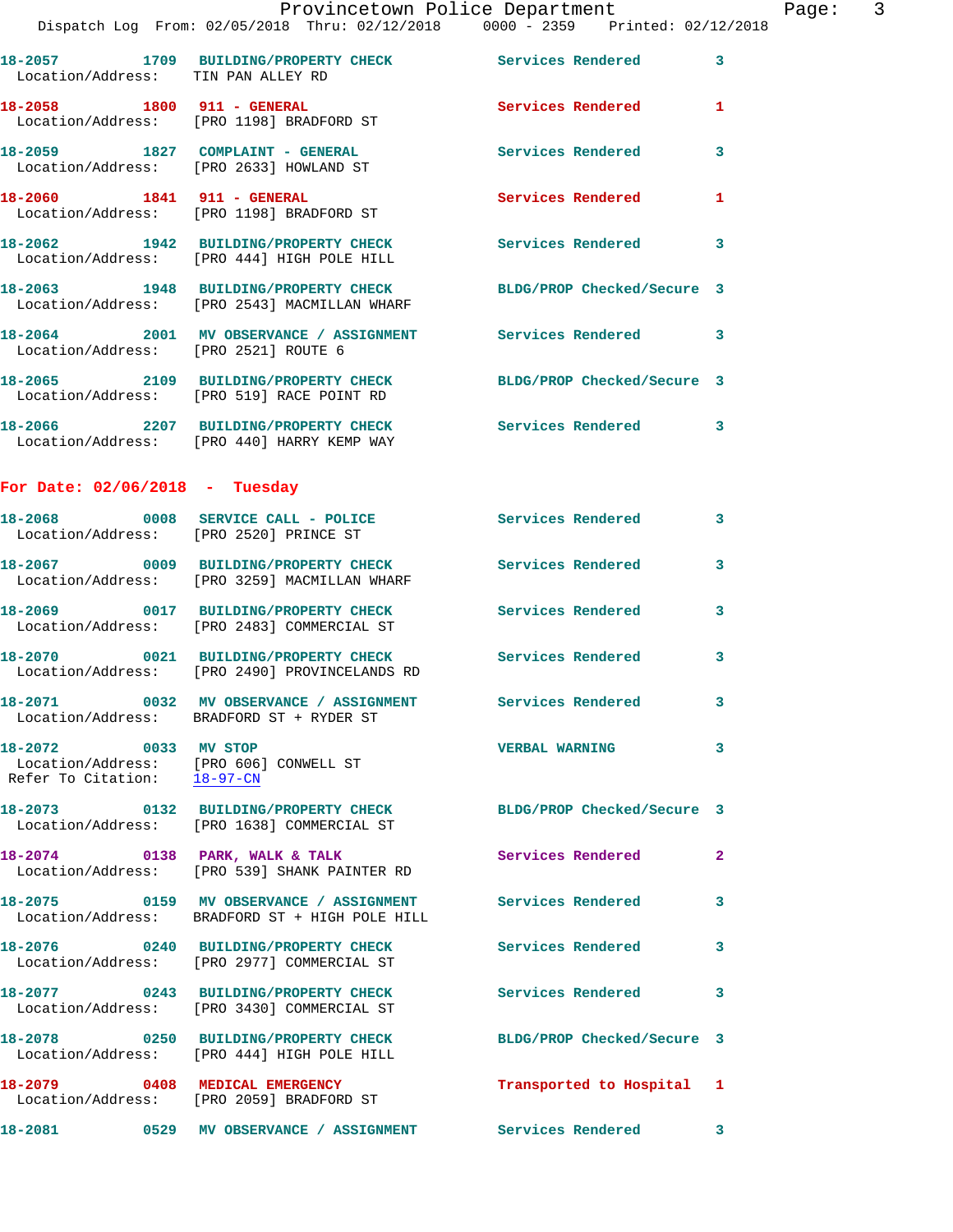|                                    | Dispatch Log From: 02/05/2018 Thru: 02/12/2018 0000 - 2359 Printed: 02/12/2018                                  |                            |              |
|------------------------------------|-----------------------------------------------------------------------------------------------------------------|----------------------------|--------------|
| Location/Address: TIN PAN ALLEY RD | 18-2057 1709 BUILDING/PROPERTY CHECK Services Rendered                                                          |                            | 3            |
|                                    | 18-2058    1800    911 - GENERAL<br>Location/Address: [PRO 1198] BRADFORD ST                                    | <b>Services Rendered</b>   | 1            |
|                                    | 18-2059 1827 COMPLAINT - GENERAL<br>Location/Address: [PRO 2633] HOWLAND ST                                     | <b>Services Rendered</b>   | 3            |
| 18-2060 1841 911 - GENERAL         | Location/Address: [PRO 1198] BRADFORD ST                                                                        | <b>Services Rendered</b>   | 1            |
|                                    | 18-2062 1942 BUILDING/PROPERTY CHECK<br>Location/Address: [PRO 444] HIGH POLE HILL                              | <b>Services Rendered</b>   | 3            |
|                                    | 18-2063 1948 BUILDING/PROPERTY CHECK BLDG/PROP Checked/Secure 3<br>Location/Address: [PRO 2543] MACMILLAN WHARF |                            |              |
|                                    | 18-2064 2001 MV OBSERVANCE / ASSIGNMENT<br>Location/Address: [PRO 2521] ROUTE 6                                 | Services Rendered          | 3            |
|                                    | 18-2065 2109 BUILDING/PROPERTY CHECK BLDG/PROP Checked/Secure 3<br>Location/Address: [PRO 519] RACE POINT RD    |                            |              |
|                                    | 18-2066 2207 BUILDING/PROPERTY CHECK<br>Location/Address: [PRO 440] HARRY KEMP WAY                              | <b>Services Rendered</b>   | 3            |
| For Date: $02/06/2018$ - Tuesday   |                                                                                                                 |                            |              |
|                                    | 18-2068 0008 SERVICE CALL - POLICE<br>Location/Address: [PRO 2520] PRINCE ST                                    | <b>Services Rendered</b>   | 3            |
|                                    | 18-2067 0009 BUILDING/PROPERTY CHECK<br>Location/Address: [PRO 3259] MACMILLAN WHARF                            | <b>Services Rendered</b>   | 3            |
|                                    | 18-2069 0017 BUILDING/PROPERTY CHECK<br>Location/Address: [PRO 2483] COMMERCIAL ST                              | <b>Services Rendered</b>   | 3            |
|                                    | 18-2070 0021 BUILDING/PROPERTY CHECK<br>Location/Address: [PRO 2490] PROVINCELANDS RD                           | <b>Services Rendered</b>   | 3            |
|                                    | 18-2071 0032 MV OBSERVANCE / ASSIGNMENT Services Rendered<br>Location/Address: BRADFORD ST + RYDER ST           |                            | 3            |
| 18-2072 0033 MV STOP               | Location/Address: [PRO 606] CONWELL ST<br>Refer To Citation: 18-97-CN                                           | <b>VERBAL WARNING</b>      | 3            |
|                                    | 18-2073 0132 BUILDING/PROPERTY CHECK<br>Location/Address: [PRO 1638] COMMERCIAL ST                              | BLDG/PROP Checked/Secure 3 |              |
|                                    | 18-2074 0138 PARK, WALK & TALK<br>Location/Address: [PRO 539] SHANK PAINTER RD                                  | Services Rendered          | $\mathbf{2}$ |
|                                    | Location/Address: BRADFORD ST + HIGH POLE HILL                                                                  | Services Rendered          | 3            |
|                                    | 18-2076 0240 BUILDING/PROPERTY CHECK<br>Location/Address: [PRO 2977] COMMERCIAL ST                              | Services Rendered          | 3            |
|                                    | 18-2077 0243 BUILDING/PROPERTY CHECK<br>Location/Address: [PRO 3430] COMMERCIAL ST                              | <b>Services Rendered</b>   | 3            |
|                                    | 18-2078 0250 BUILDING/PROPERTY CHECK<br>Location/Address: [PRO 444] HIGH POLE HILL                              | BLDG/PROP Checked/Secure 3 |              |
|                                    | 18-2079 0408 MEDICAL EMERGENCY<br>Location/Address: [PRO 2059] BRADFORD ST                                      | Transported to Hospital    | 1            |
|                                    |                                                                                                                 |                            | 3            |
|                                    |                                                                                                                 |                            |              |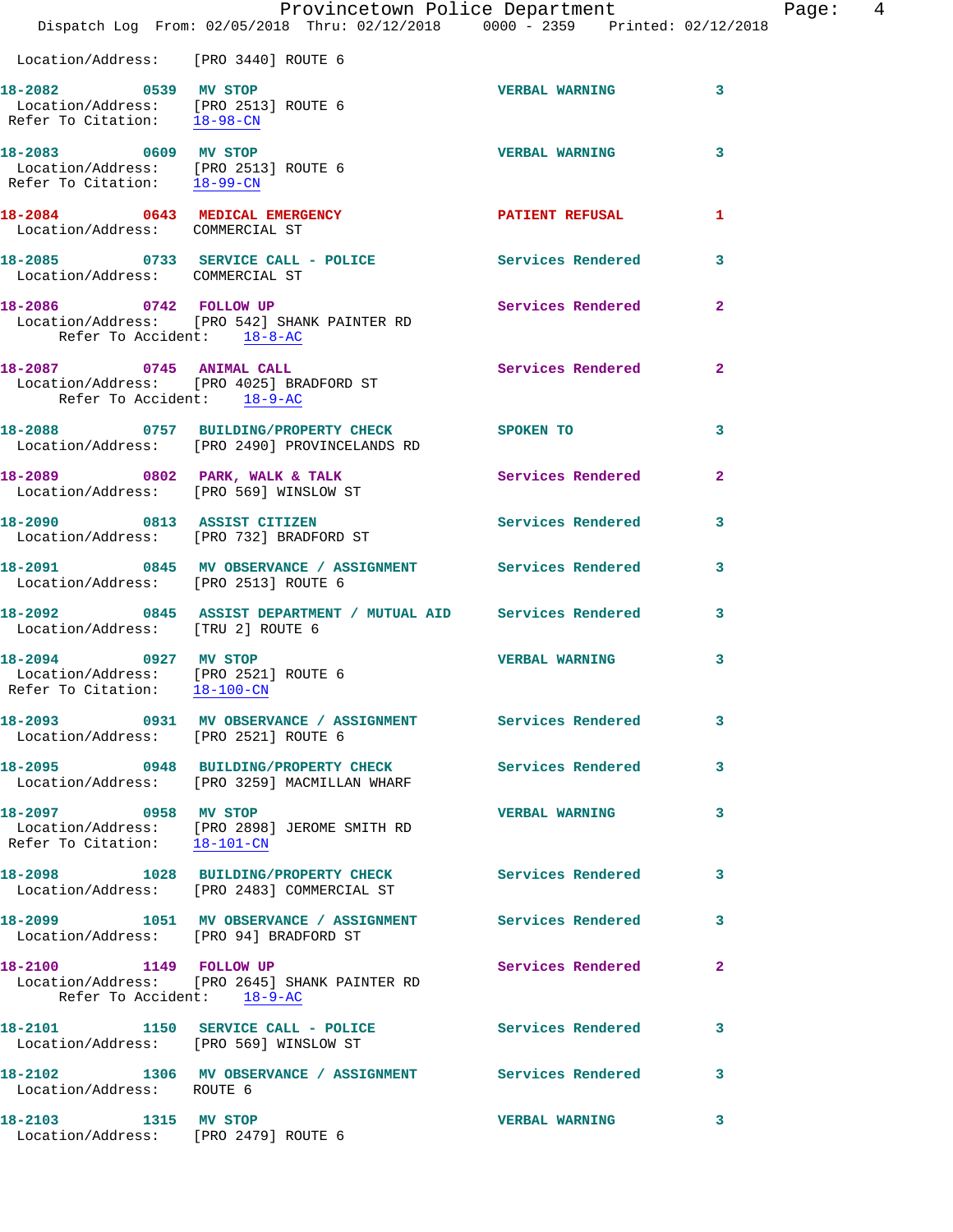|                                                                                              | Provincetown Police Department                                                                         |                          |                |
|----------------------------------------------------------------------------------------------|--------------------------------------------------------------------------------------------------------|--------------------------|----------------|
|                                                                                              | Dispatch Log From: 02/05/2018 Thru: 02/12/2018 0000 - 2359 Printed: 02/12/2018                         |                          |                |
| Location/Address: [PRO 3440] ROUTE 6                                                         |                                                                                                        |                          |                |
| 18-2082 0539 MV STOP<br>Location/Address: [PRO 2513] ROUTE 6<br>Refer To Citation: 18-98-CN  |                                                                                                        | <b>VERBAL WARNING</b>    | 3              |
| 18-2083 0609 MV STOP<br>Location/Address: [PRO 2513] ROUTE 6<br>Refer To Citation: 18-99-CN  |                                                                                                        | <b>VERBAL WARNING</b>    | 3              |
| 18-2084 0643 MEDICAL EMERGENCY<br>Location/Address: COMMERCIAL ST                            |                                                                                                        | PATIENT REFUSAL          | 1              |
| Location/Address: COMMERCIAL ST                                                              | 18-2085 0733 SERVICE CALL - POLICE Services Rendered                                                   |                          | 3              |
| Refer To Accident: 18-8-AC                                                                   | 18-2086 0742 FOLLOW UP<br>Location/Address: [PRO 542] SHANK PAINTER RD                                 | <b>Services Rendered</b> | $\overline{2}$ |
| 18-2087 0745 ANIMAL CALL<br>Refer To Accident: 18-9-AC                                       | Location/Address: [PRO 4025] BRADFORD ST                                                               | <b>Services Rendered</b> | $\overline{2}$ |
|                                                                                              | 18-2088 0757 BUILDING/PROPERTY CHECK SPOKEN TO<br>Location/Address: [PRO 2490] PROVINCELANDS RD        |                          | 3              |
|                                                                                              | 18-2089 0802 PARK, WALK & TALK 2008 Services Rendered<br>Location/Address: [PRO 569] WINSLOW ST        |                          | $\mathbf{2}$   |
|                                                                                              | 18-2090 0813 ASSIST CITIZEN<br>Location/Address: [PRO 732] BRADFORD ST                                 | <b>Services Rendered</b> | 3              |
| Location/Address: [PRO 2513] ROUTE 6                                                         | 18-2091 0845 MV OBSERVANCE / ASSIGNMENT Services Rendered                                              |                          | 3              |
| Location/Address: [TRU 2] ROUTE 6                                                            | 18-2092 0845 ASSIST DEPARTMENT / MUTUAL AID Services Rendered                                          |                          | 3              |
| 18-2094 0927 MV STOP<br>Location/Address: [PRO 2521] ROUTE 6<br>Refer To Citation: 18-100-CN |                                                                                                        | <b>VERBAL WARNING</b>    | 3              |
| Location/Address: [PRO 2521] ROUTE 6                                                         | 18-2093  0931 MV OBSERVANCE / ASSIGNMENT Services Rendered                                             |                          | 3              |
|                                                                                              | 18-2095 0948 BUILDING/PROPERTY CHECK Services Rendered<br>Location/Address: [PRO 3259] MACMILLAN WHARF |                          | 3              |
| 18-2097 0958 MV STOP<br>Refer To Citation: 18-101-CN                                         | Location/Address: [PRO 2898] JEROME SMITH RD                                                           | <b>VERBAL WARNING</b>    | 3              |
|                                                                                              | 18-2098 1028 BUILDING/PROPERTY CHECK Services Rendered<br>Location/Address: [PRO 2483] COMMERCIAL ST   |                          | 3              |
|                                                                                              | 18-2099 1051 MV OBSERVANCE / ASSIGNMENT Services Rendered<br>Location/Address: [PRO 94] BRADFORD ST    |                          | 3              |
| Refer To Accident: 18-9-AC                                                                   | 18-2100 1149 FOLLOW UP<br>Location/Address: [PRO 2645] SHANK PAINTER RD                                | Services Rendered        | 2              |
|                                                                                              | 18-2101 1150 SERVICE CALL - POLICE Services Rendered<br>Location/Address: [PRO 569] WINSLOW ST         |                          | 3              |
| Location/Address: ROUTE 6                                                                    | 18-2102 1306 MV OBSERVANCE / ASSIGNMENT Services Rendered                                              |                          | 3              |
| 18-2103 1315 MV STOP                                                                         |                                                                                                        | <b>VERBAL WARNING</b>    | 3              |

Location/Address: [PRO 2479] ROUTE 6

Page: 4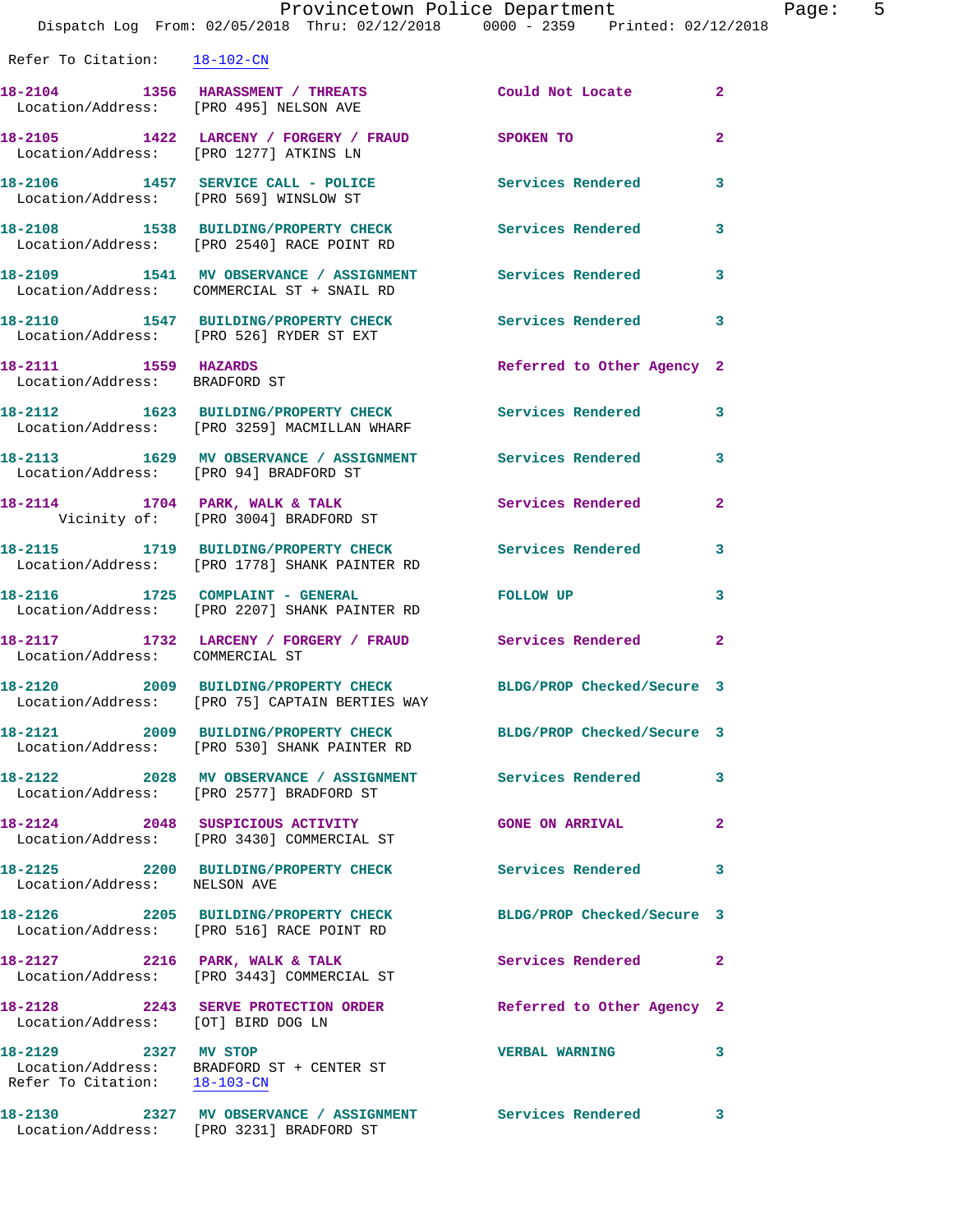| Refer To Citation: 18-102-CN                          |                                                                                                         |                                      |                         |
|-------------------------------------------------------|---------------------------------------------------------------------------------------------------------|--------------------------------------|-------------------------|
| Location/Address: [PRO 495] NELSON AVE                | 18-2104 1356 HARASSMENT / THREATS                                                                       | <b>Example 2018 Could Not Locate</b> | $\mathbf{2}$            |
| Location/Address: [PRO 1277] ATKINS LN                | 18-2105 1422 LARCENY / FORGERY / FRAUD SPOKEN TO                                                        |                                      | $\mathbf{2}$            |
|                                                       | 18-2106 1457 SERVICE CALL - POLICE<br>Location/Address: [PRO 569] WINSLOW ST                            | Services Rendered                    | 3                       |
|                                                       | 18-2108 1538 BUILDING/PROPERTY CHECK<br>Location/Address: [PRO 2540] RACE POINT RD                      | <b>Services Rendered</b>             | $\mathbf{3}$            |
|                                                       | 18-2109 1541 MV OBSERVANCE / ASSIGNMENT<br>Location/Address: COMMERCIAL ST + SNAIL RD                   | Services Rendered                    | 3                       |
|                                                       | 18-2110 1547 BUILDING/PROPERTY CHECK<br>Location/Address: [PRO 526] RYDER ST EXT                        | <b>Services Rendered</b>             | 3                       |
| 18-2111 1559 HAZARDS<br>Location/Address: BRADFORD ST |                                                                                                         | Referred to Other Agency 2           |                         |
|                                                       | 18-2112 1623 BUILDING/PROPERTY CHECK<br>Location/Address: [PRO 3259] MACMILLAN WHARF                    | <b>Services Rendered</b>             | $\mathbf{3}$            |
| Location/Address: [PRO 94] BRADFORD ST                | 18-2113 1629 MV OBSERVANCE / ASSIGNMENT Services Rendered                                               |                                      | $\mathbf{3}$            |
|                                                       | 18-2114 1704 PARK, WALK & TALK<br>Vicinity of: [PRO 3004] BRADFORD ST                                   | <b>Services Rendered</b>             | $\mathbf{2}$            |
|                                                       | 18-2115 1719 BUILDING/PROPERTY CHECK Services Rendered<br>Location/Address: [PRO 1778] SHANK PAINTER RD |                                      | 3                       |
|                                                       | 18-2116 1725 COMPLAINT - GENERAL<br>Location/Address: [PRO 2207] SHANK PAINTER RD                       | FOLLOW UP                            | 3                       |
| Location/Address: COMMERCIAL ST                       | 18-2117 1732 LARCENY / FORGERY / FRAUD Services Rendered 2                                              |                                      |                         |
|                                                       | 18-2120 2009 BUILDING/PROPERTY CHECK<br>Location/Address: [PRO 75] CAPTAIN BERTIES WAY                  | BLDG/PROP Checked/Secure 3           |                         |
|                                                       | 18-2121 2009 BUILDING/PROPERTY CHECK<br>Location/Address: [PRO 530] SHANK PAINTER RD                    | BLDG/PROP Checked/Secure 3           |                         |
|                                                       | Location/Address: [PRO 2577] BRADFORD ST                                                                |                                      | $\mathbf{3}$            |
|                                                       | 18-2124 2048 SUSPICIOUS ACTIVITY<br>Location/Address: [PRO 3430] COMMERCIAL ST                          | <b>GONE ON ARRIVAL</b>               | $\mathbf{2}$            |
| Location/Address: NELSON AVE                          | 18-2125 2200 BUILDING/PROPERTY CHECK                                                                    | <b>Services Rendered</b>             | $\overline{\mathbf{3}}$ |
|                                                       | 18-2126 2205 BUILDING/PROPERTY CHECK<br>Location/Address: [PRO 516] RACE POINT RD                       | BLDG/PROP Checked/Secure 3           |                         |
|                                                       | 18-2127 2216 PARK, WALK & TALK<br>Location/Address: [PRO 3443] COMMERCIAL ST                            | Services Rendered 2                  |                         |
| Location/Address: [OT] BIRD DOG LN                    | 18-2128 2243 SERVE PROTECTION ORDER                                                                     | Referred to Other Agency 2           |                         |
| 18-2129 2327 MV STOP                                  | Location/Address: BRADFORD ST + CENTER ST<br>Refer To Citation: $18-103-CN$                             | <b>VERBAL WARNING</b>                | 3                       |
|                                                       | 18-2130 2327 MV OBSERVANCE / ASSIGNMENT Services Rendered 3<br>Location/Address: [PRO 3231] BRADFORD ST |                                      |                         |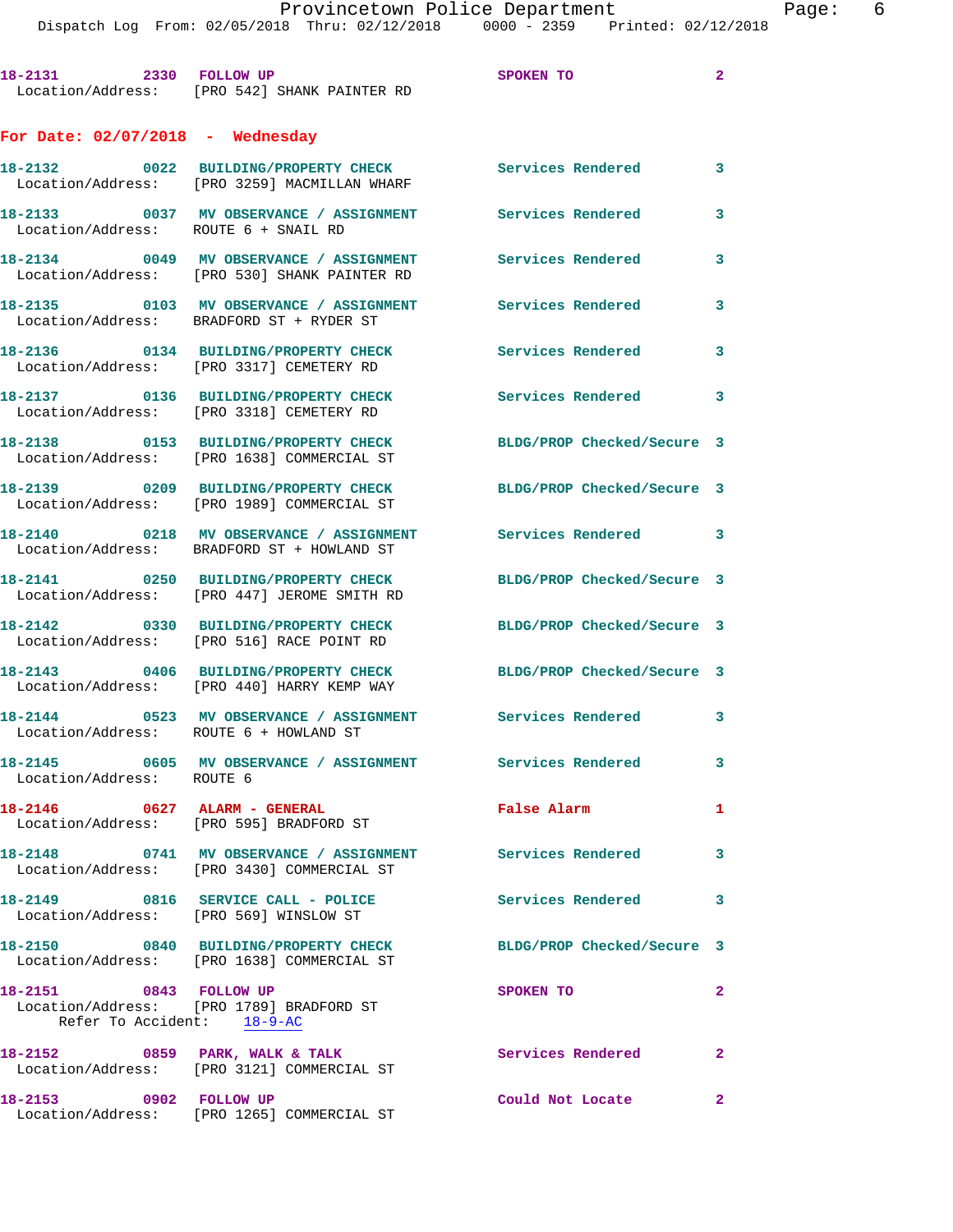| 18-2131                            | 2330 | <b>FOLLOW UP</b>                             | SPOKEN TO         | 2 |
|------------------------------------|------|----------------------------------------------|-------------------|---|
|                                    |      | Location/Address: [PRO 542] SHANK PAINTER RD |                   |   |
| For Date: $02/07/2018$ - Wednesday |      |                                              |                   |   |
| 18-2132                            | 0022 | <b>BUILDING/PROPERTY CHECK</b>               | Services Rendered | 3 |
| Location/Address:                  |      | [PRO 3259] MACMILLAN WHARF                   |                   |   |

**18-2133 0037 MV OBSERVANCE / ASSIGNMENT Services Rendered 3**  Location/Address: ROUTE 6 + SNAIL RD

**18-2134 0049 MV OBSERVANCE / ASSIGNMENT Services Rendered 3**  Location/Address: [PRO 530] SHANK PAINTER RD

**18-2135 0103 MV OBSERVANCE / ASSIGNMENT Services Rendered 3**  Location/Address: BRADFORD ST + RYDER ST

Location/Address: [PRO 3317] CEMETERY RD

Location/Address: [PRO 3318] CEMETERY RD

Location/Address: [PRO 1638] COMMERCIAL ST

Location/Address: [PRO 1989] COMMERCIAL ST

Location/Address: BRADFORD ST + HOWLAND ST

Location/Address: [PRO 447] JEROME SMITH RD

Location/Address: [PRO 516] RACE POINT RD

Location/Address: [PRO 440] HARRY KEMP WAY

**18-2144 0523 MV OBSERVANCE / ASSIGNMENT Services Rendered 3**  Location/Address: ROUTE 6 + HOWLAND ST

**18-2145 0605 MV OBSERVANCE / ASSIGNMENT Services Rendered 3**  Location/Address: ROUTE 6

**18-2146 0627 ALARM - GENERAL False Alarm 1**  Location/Address: [PRO 595] BRADFORD ST

[PRO 3430] COMMERCIAL ST

Location/Address: [PRO 569] WINSLOW ST

Location/Address: [PRO 1638] COMMERCIAL ST

 Location/Address: [PRO 1789] BRADFORD ST Refer To Accident: 18-9-AC

Location/Address: [PRO 3121] COMMERCIAL ST

**18-2153 0902 FOLLOW UP Could Not Locate 2**  Location/Address: [PRO 1265] COMMERCIAL ST

**18-2136 0134 BUILDING/PROPERTY CHECK Services Rendered 3 18-2137 0136 BUILDING/PROPERTY CHECK Services Rendered 3** 

**18-2138 0153 BUILDING/PROPERTY CHECK BLDG/PROP Checked/Secure 3** 

**18-2139 0209 BUILDING/PROPERTY CHECK BLDG/PROP Checked/Secure 3** 

18-2140 **0218** MV OBSERVANCE / ASSIGNMENT Services Rendered 3

**18-2141 0250 BUILDING/PROPERTY CHECK BLDG/PROP Checked/Secure 3** 

**18-2142 0330 BUILDING/PROPERTY CHECK BLDG/PROP Checked/Secure 3** 

**18-2143 0406 BUILDING/PROPERTY CHECK BLDG/PROP Checked/Secure 3** 

**18-2148 0741 MV OBSERVANCE / ASSIGNMENT Services Rendered 3** 

**18-2149 0816 SERVICE CALL - POLICE Services Rendered 3** 

**18-2150 0840 BUILDING/PROPERTY CHECK BLDG/PROP Checked/Secure 3** 

**18-2151 0843 FOLLOW UP SPOKEN TO 2** 

**18-2152 0859 PARK, WALK & TALK Services Rendered 2**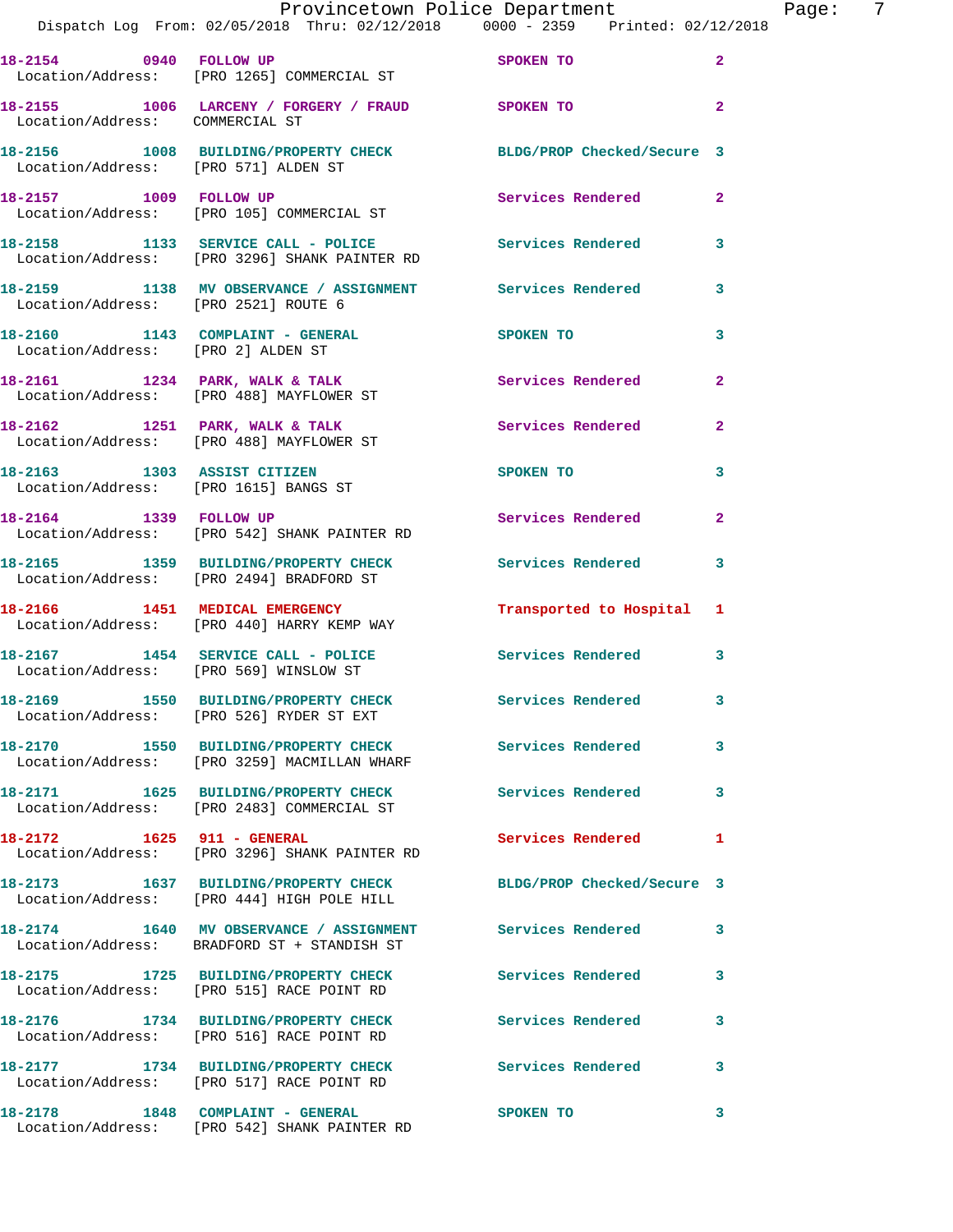|                                        | Provincetown Police Department The Page: 7<br>Dispatch Log From: 02/05/2018 Thru: 02/12/2018 0000 - 2359 Printed: 02/12/2018 |                                      |                |
|----------------------------------------|------------------------------------------------------------------------------------------------------------------------------|--------------------------------------|----------------|
|                                        | 18-2154 0940 FOLLOW UP SPOKEN TO<br>Location/Address: [PRO 1265] COMMERCIAL ST                                               |                                      | $\overline{2}$ |
| Location/Address: COMMERCIAL ST        | 18-2155 1006 LARCENY / FORGERY / FRAUD SPOKEN TO                                                                             |                                      | $\mathbf{2}$   |
|                                        | 18-2156 1008 BUILDING/PROPERTY CHECK BLDG/PROP Checked/Secure 3<br>Location/Address: [PRO 571] ALDEN ST                      |                                      |                |
|                                        | 18-2157 1009 FOLLOW UP<br>Location/Address: [PRO 105] COMMERCIAL ST                                                          | Services Rendered 2                  |                |
|                                        | 18-2158 1133 SERVICE CALL - POLICE Services Rendered 3<br>Location/Address: [PRO 3296] SHANK PAINTER RD                      |                                      |                |
| Location/Address: [PRO 2521] ROUTE 6   | 18-2159 1138 MV OBSERVANCE / ASSIGNMENT Services Rendered                                                                    |                                      | 3              |
| Location/Address: [PRO 2] ALDEN ST     | 18-2160 1143 COMPLAINT - GENERAL SPOKEN TO                                                                                   |                                      | 3              |
|                                        | 18-2161 1234 PARK, WALK & TALK 1988 Services Rendered<br>Location/Address: [PRO 488] MAYFLOWER ST                            |                                      | $\mathbf{2}$   |
|                                        | 18-2162 1251 PARK, WALK & TALK 1991 Services Rendered 2<br>Location/Address: [PRO 488] MAYFLOWER ST                          |                                      |                |
| Location/Address: [PRO 1615] BANGS ST  | 18-2163 1303 ASSIST CITIZEN                                                                                                  | SPOKEN TO THE STATE OF THE SPOKEN TO | 3              |
| 18-2164 1339 FOLLOW UP                 | Location/Address: [PRO 542] SHANK PAINTER RD                                                                                 | Services Rendered                    | $\overline{2}$ |
|                                        | 18-2165 1359 BUILDING/PROPERTY CHECK Services Rendered<br>Location/Address: [PRO 2494] BRADFORD ST                           |                                      | 3              |
|                                        | 18-2166 1451 MEDICAL EMERGENCY Transported to Hospital 1<br>Location/Address: [PRO 440] HARRY KEMP WAY                       |                                      |                |
| Location/Address: [PRO 569] WINSLOW ST | 18-2167 1454 SERVICE CALL - POLICE Services Rendered 3                                                                       |                                      |                |
|                                        | 18-2169 1550 BUILDING/PROPERTY CHECK<br>Location/Address: [PRO 526] RYDER ST EXT                                             | Services Rendered                    |                |
|                                        | 18-2170 1550 BUILDING/PROPERTY CHECK Services Rendered<br>Location/Address: [PRO 3259] MACMILLAN WHARF                       |                                      | 3              |
|                                        | 18-2171 1625 BUILDING/PROPERTY CHECK<br>Location/Address: [PRO 2483] COMMERCIAL ST                                           | Services Rendered                    | 3              |
|                                        | 18-2172 1625 911 - GENERAL<br>Location/Address: [PRO 3296] SHANK PAINTER RD                                                  | Services Rendered                    | 1              |
|                                        | 18-2173 1637 BUILDING/PROPERTY CHECK BLDG/PROP Checked/Secure 3<br>Location/Address: [PRO 444] HIGH POLE HILL                |                                      |                |
|                                        | 18-2174 1640 MV OBSERVANCE / ASSIGNMENT Services Rendered<br>Location/Address: BRADFORD ST + STANDISH ST                     |                                      | 3              |
|                                        | 18-2175 1725 BUILDING/PROPERTY CHECK Services Rendered<br>Location/Address: [PRO 515] RACE POINT RD                          |                                      | 3              |
|                                        | 18-2176 1734 BUILDING/PROPERTY CHECK Services Rendered<br>Location/Address: [PRO 516] RACE POINT RD                          |                                      | 3              |
|                                        | 18-2177 1734 BUILDING/PROPERTY CHECK Services Rendered<br>Location/Address: [PRO 517] RACE POINT RD                          |                                      | 3              |
|                                        |                                                                                                                              | SPOKEN TO                            | 3              |

Location/Address: [PRO 542] SHANK PAINTER RD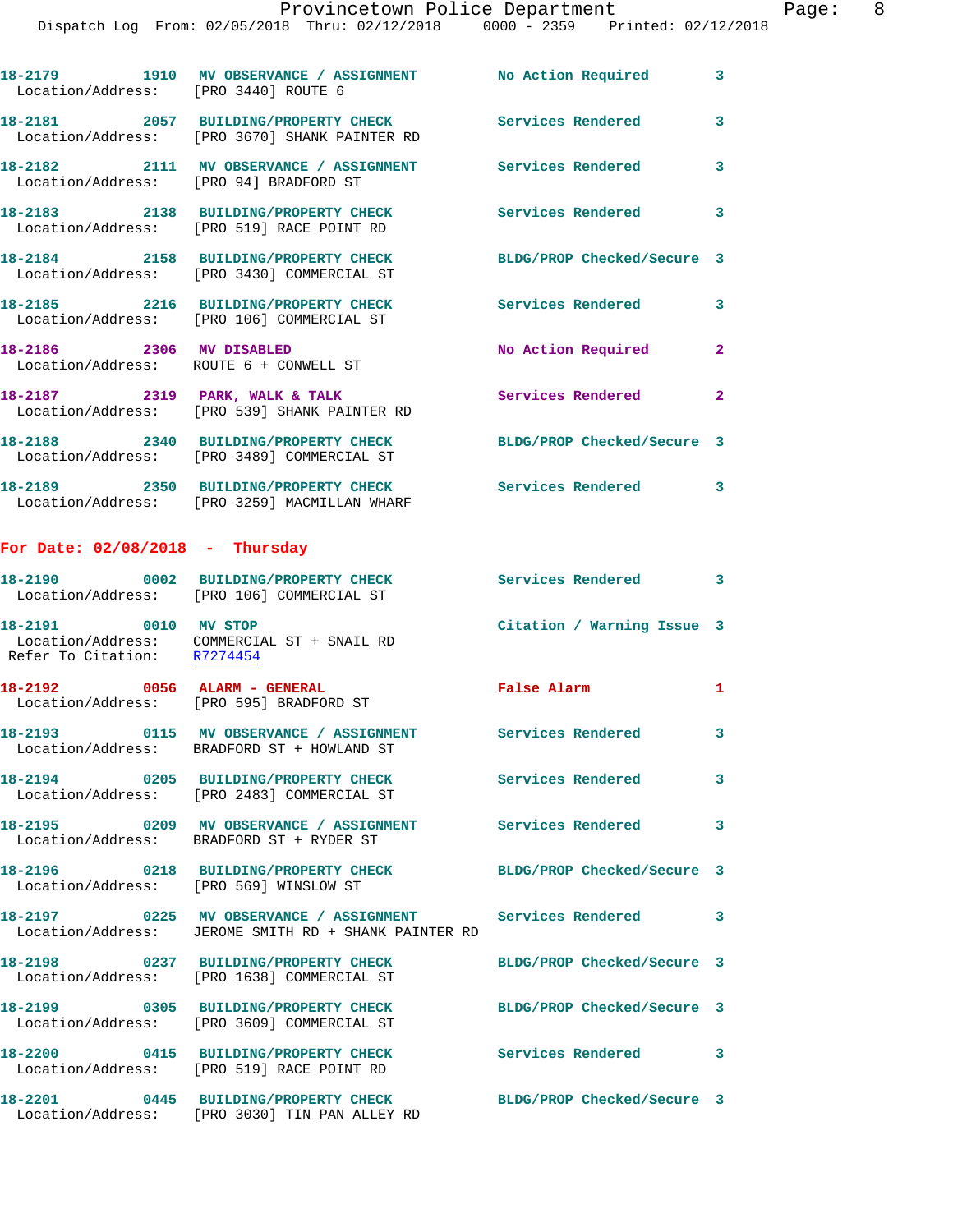Dispatch Log From: 02/05/2018 Thru: 02/12/2018 0000 - 2359 Printed: 02/12/2018

**18-2179 1910 MV OBSERVANCE / ASSIGNMENT No Action Required 3**  Location/Address: [PRO 3440] ROUTE 6 **18-2181 2057 BUILDING/PROPERTY CHECK Services Rendered 3**  Location/Address: [PRO 3670] SHANK PAINTER RD **18-2182 2111 MV OBSERVANCE / ASSIGNMENT Services Rendered 3**  Location/Address: [PRO 94] BRADFORD ST

**18-2183 2138 BUILDING/PROPERTY CHECK Services Rendered 3**  Location/Address: [PRO 519] RACE POINT RD **18-2184 2158 BUILDING/PROPERTY CHECK BLDG/PROP Checked/Secure 3**  Location/Address: [PRO 3430] COMMERCIAL ST

**18-2185 2216 BUILDING/PROPERTY CHECK Services Rendered 3**  Location/Address: [PRO 106] COMMERCIAL ST **18-2186 2306 MV DISABLED No Action Required 2**  Location/Address: ROUTE 6 + CONWELL ST **18-2187 2319 PARK, WALK & TALK Services Rendered 2** 

 Location/Address: [PRO 539] SHANK PAINTER RD **18-2188 2340 BUILDING/PROPERTY CHECK BLDG/PROP Checked/Secure 3**  Location/Address: [PRO 3489] COMMERCIAL ST **18-2189 2350 BUILDING/PROPERTY CHECK Services Rendered 3** 

Location/Address: [PRO 3259] MACMILLAN WHARF

## **For Date: 02/08/2018 - Thursday**

|                                                     | 18-2190 0002 BUILDING/PROPERTY CHECK<br>Location/Address: [PRO 106] COMMERCIAL ST                                   | Services Rendered 3        |              |
|-----------------------------------------------------|---------------------------------------------------------------------------------------------------------------------|----------------------------|--------------|
| 18-2191 0010 MV STOP<br>Refer To Citation: R7274454 | Location/Address: COMMERCIAL ST + SNAIL RD                                                                          | Citation / Warning Issue 3 |              |
|                                                     | 18-2192 0056 ALARM - GENERAL<br>Location/Address: [PRO 595] BRADFORD ST                                             | <b>False Alarm</b>         | $\mathbf{1}$ |
|                                                     | Location/Address: BRADFORD ST + HOWLAND ST                                                                          |                            | $\mathbf{3}$ |
|                                                     | 18-2194 0205 BUILDING/PROPERTY CHECK<br>Location/Address: [PRO 2483] COMMERCIAL ST                                  | <b>Services Rendered</b>   | 3            |
|                                                     | 18-2195 		 0209 MV OBSERVANCE / ASSIGNMENT Services Rendered<br>Location/Address: BRADFORD ST + RYDER ST            |                            | $\mathbf{3}$ |
| Location/Address: [PRO 569] WINSLOW ST              | 18-2196 0218 BUILDING/PROPERTY CHECK BLDG/PROP Checked/Secure 3                                                     |                            |              |
|                                                     | 18-2197 6225 MV OBSERVANCE / ASSIGNMENT Services Rendered 3<br>Location/Address: JEROME SMITH RD + SHANK PAINTER RD |                            |              |
|                                                     | 18-2198 0237 BUILDING/PROPERTY CHECK<br>Location/Address: [PRO 1638] COMMERCIAL ST                                  | BLDG/PROP Checked/Secure 3 |              |
|                                                     | 18-2199 0305 BUILDING/PROPERTY CHECK<br>Location/Address: [PRO 3609] COMMERCIAL ST                                  | BLDG/PROP Checked/Secure 3 |              |
|                                                     | 18-2200 0415 BUILDING/PROPERTY CHECK<br>Location/Address: [PRO 519] RACE POINT RD                                   | Services Rendered 3        |              |
| Location/Address:                                   | 18-2201 0445 BUILDING/PROPERTY CHECK BLDG/PROP Checked/Secure 3<br>[PRO 3030] TIN PAN ALLEY RD                      |                            |              |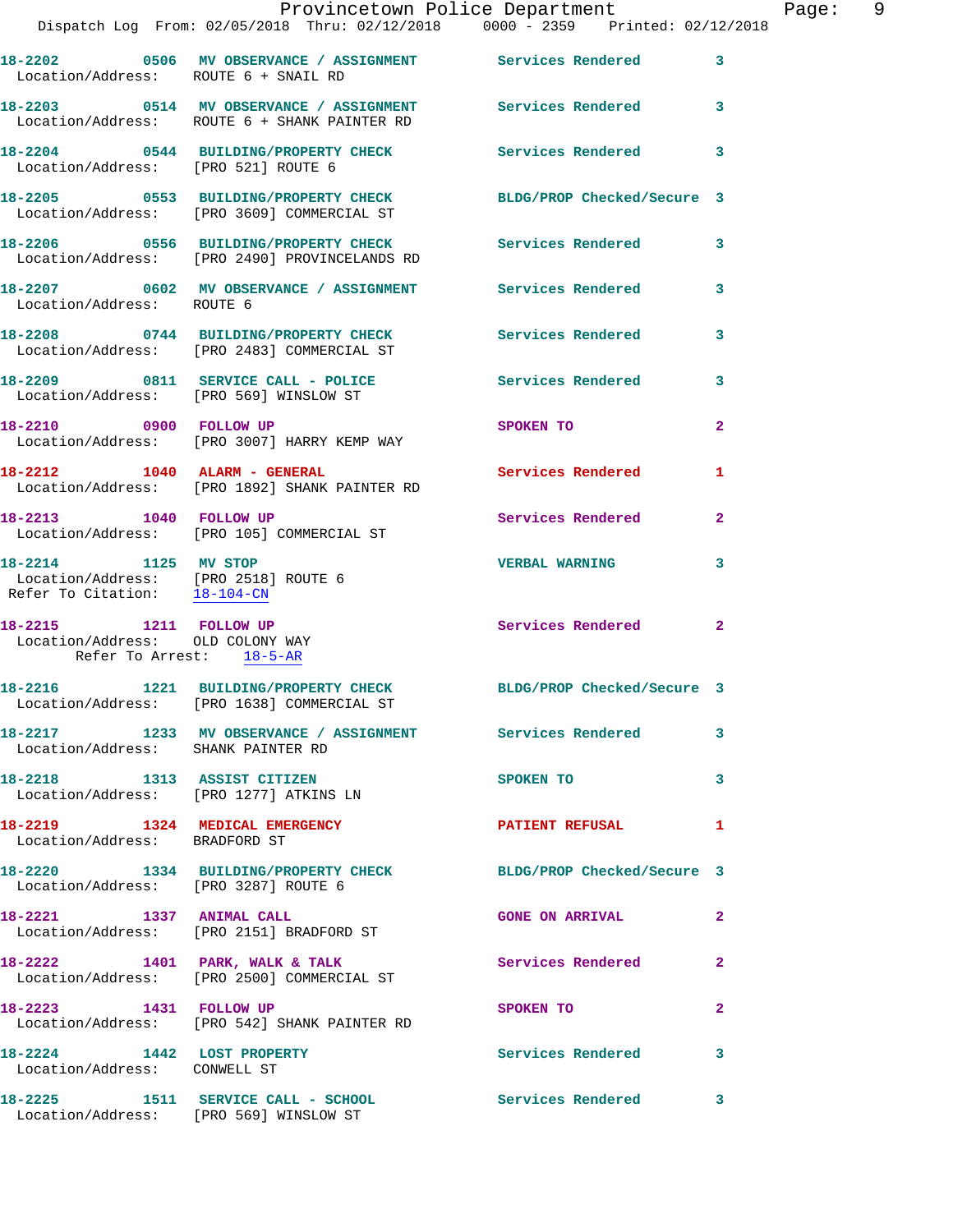|                                                                                              | Provincetown Police Department                                                                                |                            |                |
|----------------------------------------------------------------------------------------------|---------------------------------------------------------------------------------------------------------------|----------------------------|----------------|
|                                                                                              | Dispatch Log From: 02/05/2018 Thru: 02/12/2018 0000 - 2359 Printed: 02/12/2018                                |                            |                |
| Location/Address: ROUTE 6 + SNAIL RD                                                         | 18-2202 0506 MV OBSERVANCE / ASSIGNMENT Services Rendered 3                                                   |                            |                |
|                                                                                              | 18-2203 0514 MV OBSERVANCE / ASSIGNMENT Services Rendered<br>Location/Address: ROUTE 6 + SHANK PAINTER RD     |                            | $\mathbf{3}$   |
|                                                                                              | 18-2204 0544 BUILDING/PROPERTY CHECK Services Rendered 3<br>Location/Address: [PRO 521] ROUTE 6               |                            |                |
|                                                                                              | 18-2205 0553 BUILDING/PROPERTY CHECK<br>Location/Address: [PRO 3609] COMMERCIAL ST                            | BLDG/PROP Checked/Secure 3 |                |
|                                                                                              | 18-2206 0556 BUILDING/PROPERTY CHECK Services Rendered<br>Location/Address: [PRO 2490] PROVINCELANDS RD       |                            | 3              |
| Location/Address: ROUTE 6                                                                    | 18-2207 0602 MV OBSERVANCE / ASSIGNMENT Services Rendered                                                     |                            | 3              |
|                                                                                              | 18-2208 0744 BUILDING/PROPERTY CHECK Services Rendered<br>Location/Address: [PRO 2483] COMMERCIAL ST          |                            | 3              |
|                                                                                              | 18-2209 0811 SERVICE CALL - POLICE<br>Location/Address: [PRO 569] WINSLOW ST                                  | Services Rendered          | $\mathbf{3}$   |
|                                                                                              | 18-2210 0900 FOLLOW UP<br>Location/Address: [PRO 3007] HARRY KEMP WAY                                         | SPOKEN TO                  | $\mathbf{2}$   |
|                                                                                              | 18-2212 1040 ALARM - GENERAL<br>Location/Address: [PRO 1892] SHANK PAINTER RD                                 | Services Rendered          | 1              |
|                                                                                              | 18-2213 1040 FOLLOW UP<br>Location/Address: [PRO 105] COMMERCIAL ST                                           | Services Rendered          | $\mathbf{2}$   |
| 18-2214 1125 MV STOP<br>Location/Address: [PRO 2518] ROUTE 6<br>Refer To Citation: 18-104-CN |                                                                                                               | <b>VERBAL WARNING</b>      | 3              |
| 18-2215 1211 FOLLOW UP<br>Location/Address: OLD COLONY WAY<br>Refer To Arrest: 18-5-AR       |                                                                                                               | Services Rendered 2        |                |
|                                                                                              | 18-2216 1221 BUILDING/PROPERTY CHECK BLDG/PROP Checked/Secure 3<br>Location/Address: [PRO 1638] COMMERCIAL ST |                            |                |
| Location/Address: SHANK PAINTER RD                                                           | 18-2217 1233 MV OBSERVANCE / ASSIGNMENT Services Rendered 3                                                   |                            |                |
|                                                                                              | 18-2218 1313 ASSIST CITIZEN<br>Location/Address: [PRO 1277] ATKINS LN                                         | SPOKEN TO                  | 3              |
| Location/Address: BRADFORD ST                                                                | 18-2219 1324 MEDICAL EMERGENCY                                                                                | PATIENT REFUSAL            | 1              |
| Location/Address: [PRO 3287] ROUTE 6                                                         | 18-2220 1334 BUILDING/PROPERTY CHECK BLDG/PROP Checked/Secure 3                                               |                            |                |
|                                                                                              | 18-2221 1337 ANIMAL CALL<br>Location/Address: [PRO 2151] BRADFORD ST                                          | <b>GONE ON ARRIVAL</b>     | $\mathbf{2}$   |
|                                                                                              | 18-2222 1401 PARK, WALK & TALK<br>Location/Address: [PRO 2500] COMMERCIAL ST                                  | Services Rendered          | $\overline{2}$ |
| 18-2223 1431 FOLLOW UP                                                                       | Location/Address: [PRO 542] SHANK PAINTER RD                                                                  | SPOKEN TO                  | 2              |
| 18-2224 1442 LOST PROPERTY<br>Location/Address: CONWELL ST                                   |                                                                                                               | Services Rendered          | 3              |
|                                                                                              | 18-2225 1511 SERVICE CALL - SCHOOL Services Rendered 3                                                        |                            |                |

Location/Address: [PRO 569] WINSLOW ST

Page: 9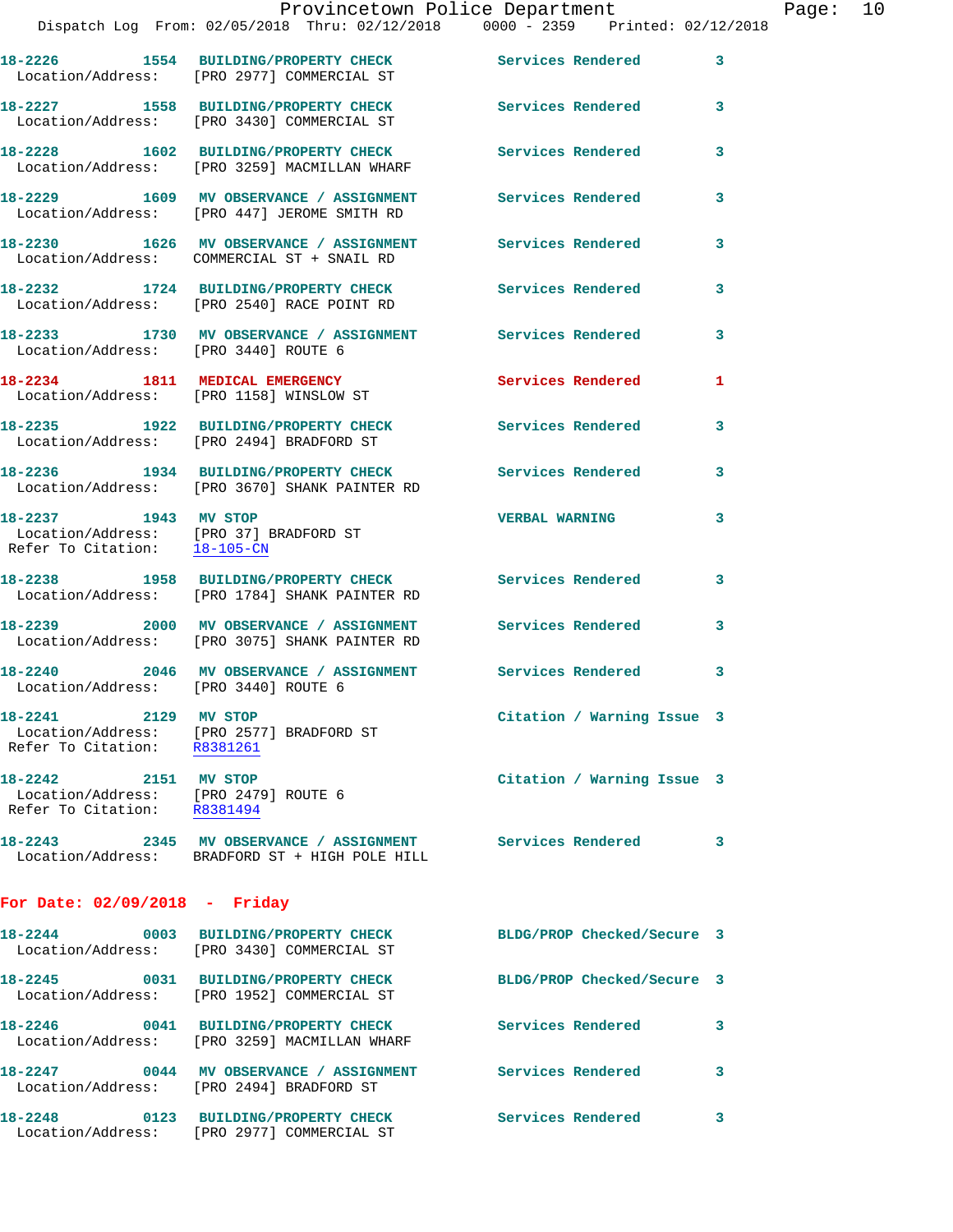|                                                      | Dispatch Log From: 02/05/2018 Thru: 02/12/2018 0000 - 2359 Printed: 02/12/2018                              |                            |   |
|------------------------------------------------------|-------------------------------------------------------------------------------------------------------------|----------------------------|---|
|                                                      | 18-2226 1554 BUILDING/PROPERTY CHECK<br>Location/Address: [PRO 2977] COMMERCIAL ST                          | <b>Services Rendered</b>   | 3 |
|                                                      | 18-2227 1558 BUILDING/PROPERTY CHECK Services Rendered<br>Location/Address: [PRO 3430] COMMERCIAL ST        |                            | 3 |
|                                                      | 18-2228 1602 BUILDING/PROPERTY CHECK<br>Location/Address: [PRO 3259] MACMILLAN WHARF                        | <b>Services Rendered</b>   | 3 |
|                                                      | 18-2229 1609 MV OBSERVANCE / ASSIGNMENT<br>Location/Address: [PRO 447] JEROME SMITH RD                      | <b>Services Rendered</b>   | 3 |
|                                                      | 18-2230 1626 MV OBSERVANCE / ASSIGNMENT<br>Location/Address: COMMERCIAL ST + SNAIL RD                       | <b>Services Rendered</b>   | 3 |
|                                                      | 18-2232 1724 BUILDING/PROPERTY CHECK<br>Location/Address: [PRO 2540] RACE POINT RD                          | <b>Services Rendered</b>   | 3 |
|                                                      | 18-2233 1730 MV OBSERVANCE / ASSIGNMENT Services Rendered<br>Location/Address: [PRO 3440] ROUTE 6           |                            | 3 |
|                                                      | 18-2234 1811 MEDICAL EMERGENCY<br>Location/Address: [PRO 1158] WINSLOW ST                                   | <b>Services Rendered</b>   | 1 |
|                                                      | 18-2235 1922 BUILDING/PROPERTY CHECK<br>Location/Address: [PRO 2494] BRADFORD ST                            | <b>Services Rendered</b>   | 3 |
|                                                      | 18-2236 1934 BUILDING/PROPERTY CHECK Services Rendered<br>Location/Address: [PRO 3670] SHANK PAINTER RD     |                            | 3 |
| 18-2237 1943 MV STOP<br>Refer To Citation: 18-105-CN | Location/Address: [PRO 37] BRADFORD ST                                                                      | <b>VERBAL WARNING</b>      | 3 |
|                                                      | 18-2238 1958 BUILDING/PROPERTY CHECK<br>Location/Address: [PRO 1784] SHANK PAINTER RD                       | <b>Services Rendered</b>   | 3 |
|                                                      | 18-2239 2000 MV OBSERVANCE / ASSIGNMENT<br>Location/Address: [PRO 3075] SHANK PAINTER RD                    | <b>Services Rendered</b>   | 3 |
|                                                      | 18-2240 2046 MV OBSERVANCE / ASSIGNMENT Services Rendered<br>Location/Address: [PRO 3440] ROUTE 6           |                            | 3 |
|                                                      | 18-2241 2129 MV STOP<br>Location/Address: [PRO 2577] BRADFORD ST<br>Refer To Citation: R8381261             | Citation / Warning Issue 3 |   |
| 18-2242 2151 MV STOP                                 | Location/Address: [PRO 2479] ROUTE 6<br>Refer To Citation: R8381494                                         | Citation / Warning Issue 3 |   |
|                                                      | 18-2243 2345 MV OBSERVANCE / ASSIGNMENT Services Rendered<br>Location/Address: BRADFORD ST + HIGH POLE HILL |                            | 3 |
| For Date: 02/09/2018 - Friday                        |                                                                                                             |                            |   |
|                                                      | 18-2244 0003 BUILDING/PROPERTY CHECK<br>Location/Address: [PRO 3430] COMMERCIAL ST                          | BLDG/PROP Checked/Secure 3 |   |
|                                                      | 18-2245 0031 BUILDING/PROPERTY CHECK<br>Location/Address: [PRO 1952] COMMERCIAL ST                          | BLDG/PROP Checked/Secure 3 |   |
|                                                      | 18-2246 0041 BUILDING/PROPERTY CHECK<br>Location/Address: [PRO 3259] MACMILLAN WHARF                        | Services Rendered          | 3 |
|                                                      | 18-2247  0044 MV OBSERVANCE / ASSIGNMENT Services Rendered<br>Location/Address: [PRO 2494] BRADFORD ST      |                            | 3 |
|                                                      | 18-2248 		 0123 BUILDING/PROPERTY CHECK Services Rendered<br>Location/Address: [PRO 2977] COMMERCIAL ST     |                            | 3 |
|                                                      |                                                                                                             |                            |   |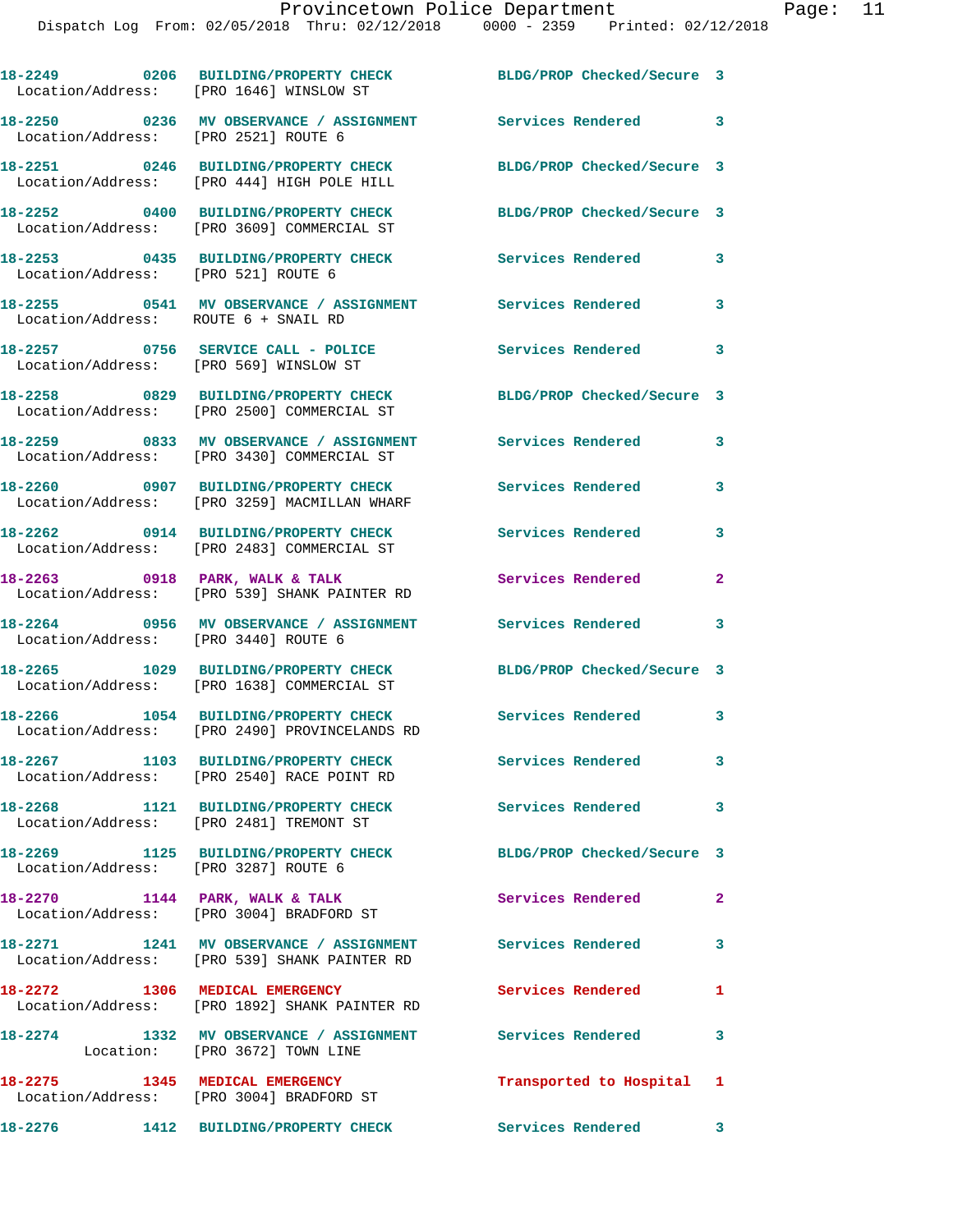|                                        | 18-2249 0206 BUILDING/PROPERTY CHECK BLDG/PROP Checked/Secure 3<br>Location/Address: [PRO 1646] WINSLOW ST |                            |                            |
|----------------------------------------|------------------------------------------------------------------------------------------------------------|----------------------------|----------------------------|
| Location/Address: [PRO 2521] ROUTE 6   | 18-2250 0236 MV OBSERVANCE / ASSIGNMENT Services Rendered 3                                                |                            |                            |
|                                        | 18-2251 0246 BUILDING/PROPERTY CHECK<br>Location/Address: [PRO 444] HIGH POLE HILL                         | BLDG/PROP Checked/Secure 3 |                            |
|                                        | 18-2252 0400 BUILDING/PROPERTY CHECK<br>Location/Address: [PRO 3609] COMMERCIAL ST                         | BLDG/PROP Checked/Secure 3 |                            |
|                                        | 18-2253 0435 BUILDING/PROPERTY CHECK<br>Location/Address: [PRO 521] ROUTE 6                                | <b>Services Rendered</b>   | 3                          |
| Location/Address: ROUTE 6 + SNAIL RD   | 18-2255 0541 MV OBSERVANCE / ASSIGNMENT Services Rendered                                                  |                            | $\mathbf{3}$               |
| Location/Address: [PRO 569] WINSLOW ST | 18-2257 0756 SERVICE CALL - POLICE                                                                         | Services Rendered          | $\overline{\phantom{a}}$ 3 |
|                                        | 18-2258 0829 BUILDING/PROPERTY CHECK<br>Location/Address: [PRO 2500] COMMERCIAL ST                         | BLDG/PROP Checked/Secure 3 |                            |
|                                        | 18-2259 0833 MV OBSERVANCE / ASSIGNMENT<br>Location/Address: [PRO 3430] COMMERCIAL ST                      | <b>Services Rendered</b>   | 3                          |
|                                        | 18-2260 0907 BUILDING/PROPERTY CHECK<br>Location/Address: [PRO 3259] MACMILLAN WHARF                       | <b>Services Rendered</b>   | 3                          |
|                                        | 18-2262 0914 BUILDING/PROPERTY CHECK<br>Location/Address: [PRO 2483] COMMERCIAL ST                         | <b>Services Rendered</b>   | 3                          |
|                                        | 18-2263 0918 PARK, WALK & TALK<br>Location/Address: [PRO 539] SHANK PAINTER RD                             | Services Rendered          | $\mathbf{2}$               |
| Location/Address: [PRO 3440] ROUTE 6   | 18-2264 0956 MV OBSERVANCE / ASSIGNMENT                                                                    | Services Rendered 3        |                            |
|                                        | 18-2265 1029 BUILDING/PROPERTY CHECK<br>Location/Address: [PRO 1638] COMMERCIAL ST                         | BLDG/PROP Checked/Secure 3 |                            |
|                                        | 18-2266 1054 BUILDING/PROPERTY CHECK<br>Location/Address: [PRO 2490] PROVINCELANDS RD                      | Services Rendered 3        |                            |
|                                        | 18-2267 1103 BUILDING/PROPERTY CHECK<br>Location/Address: [PRO 2540] RACE POINT RD                         | Services Rendered          | 3                          |
| 18-2268                                | 1121 BUILDING/PROPERTY CHECK<br>Location/Address: [PRO 2481] TREMONT ST                                    | <b>Services Rendered</b>   | 3                          |
| Location/Address: [PRO 3287] ROUTE 6   | 18-2269 1125 BUILDING/PROPERTY CHECK                                                                       | BLDG/PROP Checked/Secure 3 |                            |
| 18-2270 1144 PARK, WALK & TALK         | Location/Address: [PRO 3004] BRADFORD ST                                                                   | Services Rendered          | $\mathbf{2}$               |
|                                        | 18-2271 1241 MV OBSERVANCE / ASSIGNMENT<br>Location/Address: [PRO 539] SHANK PAINTER RD                    | <b>Services Rendered</b>   | $\mathbf{3}$               |
| 18-2272 1306 MEDICAL EMERGENCY         | Location/Address: [PRO 1892] SHANK PAINTER RD                                                              | Services Rendered          | 1                          |
|                                        | 18-2274 1332 MV OBSERVANCE / ASSIGNMENT Services Rendered<br>Location: [PRO 3672] TOWN LINE                |                            | 3                          |
|                                        | 18-2275 1345 MEDICAL EMERGENCY<br>Location/Address: [PRO 3004] BRADFORD ST                                 | Transported to Hospital 1  |                            |

**18-2276 1412 BUILDING/PROPERTY CHECK Services Rendered 3**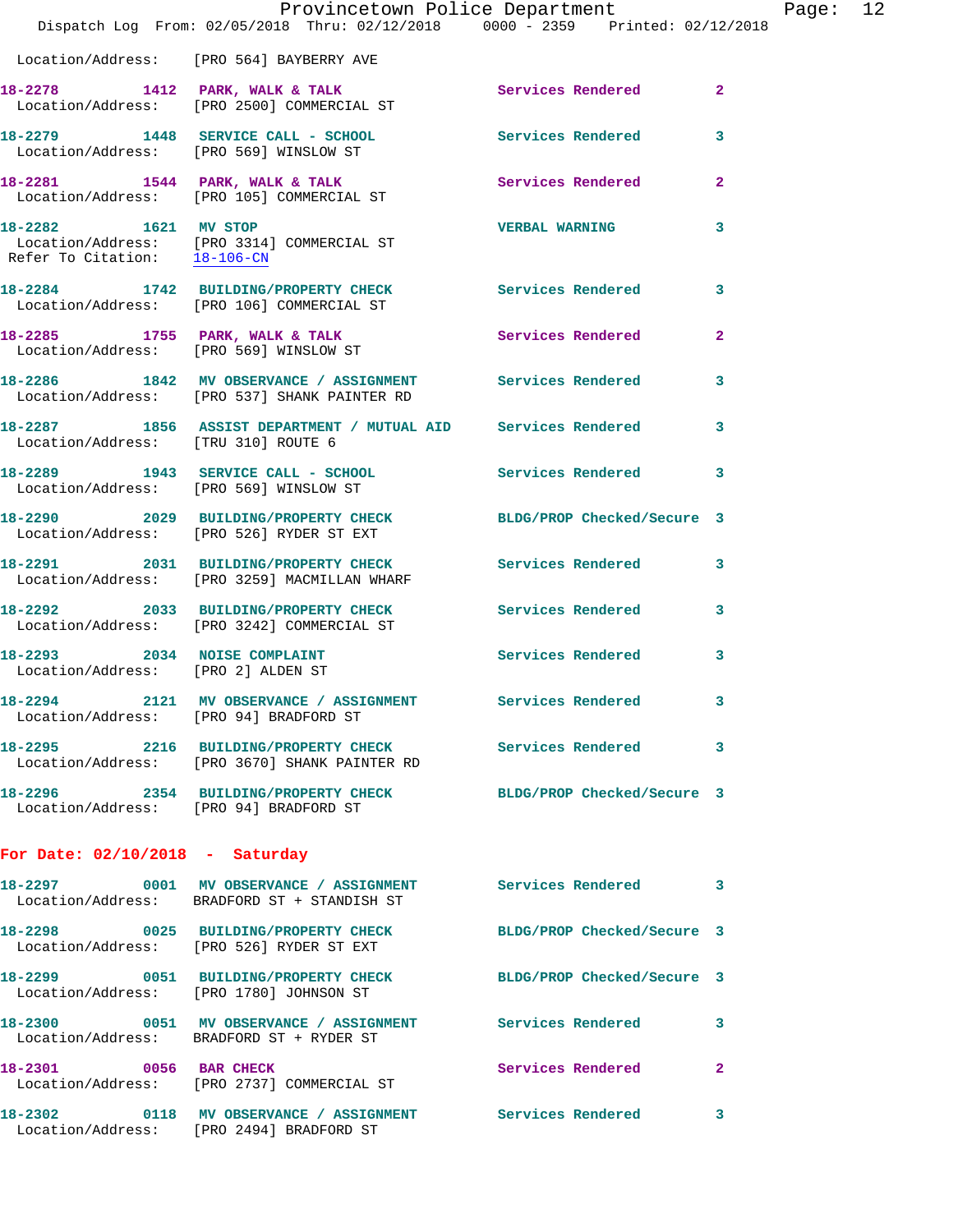|                                                                    | Provincetown Police Department<br>Dispatch Log From: 02/05/2018 Thru: 02/12/2018 0000 - 2359 Printed: 02/12/2018 |                            | Page: 12     |  |
|--------------------------------------------------------------------|------------------------------------------------------------------------------------------------------------------|----------------------------|--------------|--|
|                                                                    | Location/Address: [PRO 564] BAYBERRY AVE                                                                         |                            |              |  |
|                                                                    | 18-2278 1412 PARK, WALK & TALK Services Rendered 2<br>Location/Address: [PRO 2500] COMMERCIAL ST                 |                            |              |  |
|                                                                    | 18-2279 1448 SERVICE CALL - SCHOOL Services Rendered 3<br>Location/Address: [PRO 569] WINSLOW ST                 |                            |              |  |
|                                                                    | 18-2281 1544 PARK, WALK & TALK<br>Location/Address: [PRO 105] COMMERCIAL ST                                      | Services Rendered          | $\mathbf{2}$ |  |
| 18-2282 1621 MV STOP                                               | Location/Address: [PRO 3314] COMMERCIAL ST<br>Refer To Citation: 18-106-CN                                       | <b>VERBAL WARNING</b>      | 3            |  |
|                                                                    | 18-2284 1742 BUILDING/PROPERTY CHECK Services Rendered 3<br>Location/Address: [PRO 106] COMMERCIAL ST            |                            |              |  |
|                                                                    | 18-2285 1755 PARK, WALK & TALK<br>Location/Address: [PRO 569] WINSLOW ST                                         | Services Rendered          | $\mathbf{2}$ |  |
|                                                                    | 18-2286 1842 MV OBSERVANCE / ASSIGNMENT Services Rendered 3<br>Location/Address: [PRO 537] SHANK PAINTER RD      |                            |              |  |
| Location/Address: [TRU 310] ROUTE 6                                | 18-2287 1856 ASSIST DEPARTMENT / MUTUAL AID Services Rendered                                                    |                            | 3            |  |
| Location/Address: [PRO 569] WINSLOW ST                             | 18-2289 1943 SERVICE CALL - SCHOOL Services Rendered 3                                                           |                            |              |  |
|                                                                    | 18-2290 2029 BUILDING/PROPERTY CHECK BLDG/PROP Checked/Secure 3<br>Location/Address: [PRO 526] RYDER ST EXT      |                            |              |  |
|                                                                    | 18-2291 2031 BUILDING/PROPERTY CHECK<br>Location/Address: [PRO 3259] MACMILLAN WHARF                             | Services Rendered 3        |              |  |
|                                                                    | 18-2292 2033 BUILDING/PROPERTY CHECK Services Rendered<br>Location/Address: [PRO 3242] COMMERCIAL ST             |                            | 3            |  |
| 18-2293 2034 NOISE COMPLAINT<br>Location/Address: [PRO 2] ALDEN ST |                                                                                                                  | Services Rendered          | 3            |  |
| Location/Address: [PRO 94] BRADFORD ST                             | 18-2294 2121 MV OBSERVANCE / ASSIGNMENT Services Rendered 3                                                      |                            |              |  |
|                                                                    | 18-2295 2216 BUILDING/PROPERTY CHECK Services Rendered 3<br>Location/Address: [PRO 3670] SHANK PAINTER RD        |                            |              |  |
| Location/Address: [PRO 94] BRADFORD ST                             | 18-2296 2354 BUILDING/PROPERTY CHECK BLDG/PROP Checked/Secure 3                                                  |                            |              |  |
| For Date: $02/10/2018$ - Saturday                                  |                                                                                                                  |                            |              |  |
|                                                                    | 18-2297 0001 MV OBSERVANCE / ASSIGNMENT Services Rendered<br>Location/Address: BRADFORD ST + STANDISH ST         |                            | 3            |  |
|                                                                    | 18-2298 0025 BUILDING/PROPERTY CHECK<br>Location/Address: [PRO 526] RYDER ST EXT                                 | BLDG/PROP Checked/Secure 3 |              |  |
|                                                                    | 18-2299 0051 BUILDING/PROPERTY CHECK BLDG/PROP Checked/Secure 3<br>Location/Address: [PRO 1780] JOHNSON ST       |                            |              |  |
|                                                                    | 18-2300 0051 MV OBSERVANCE / ASSIGNMENT Services Rendered 3<br>Location/Address: BRADFORD ST + RYDER ST          |                            |              |  |
|                                                                    | 18-2301 0056 BAR CHECK<br>Location/Address: [PRO 2737] COMMERCIAL ST                                             | Services Rendered          | $\mathbf{2}$ |  |
|                                                                    | 18-2302 0118 MV OBSERVANCE / ASSIGNMENT Services Rendered 3                                                      |                            |              |  |

Location/Address: [PRO 2494] BRADFORD ST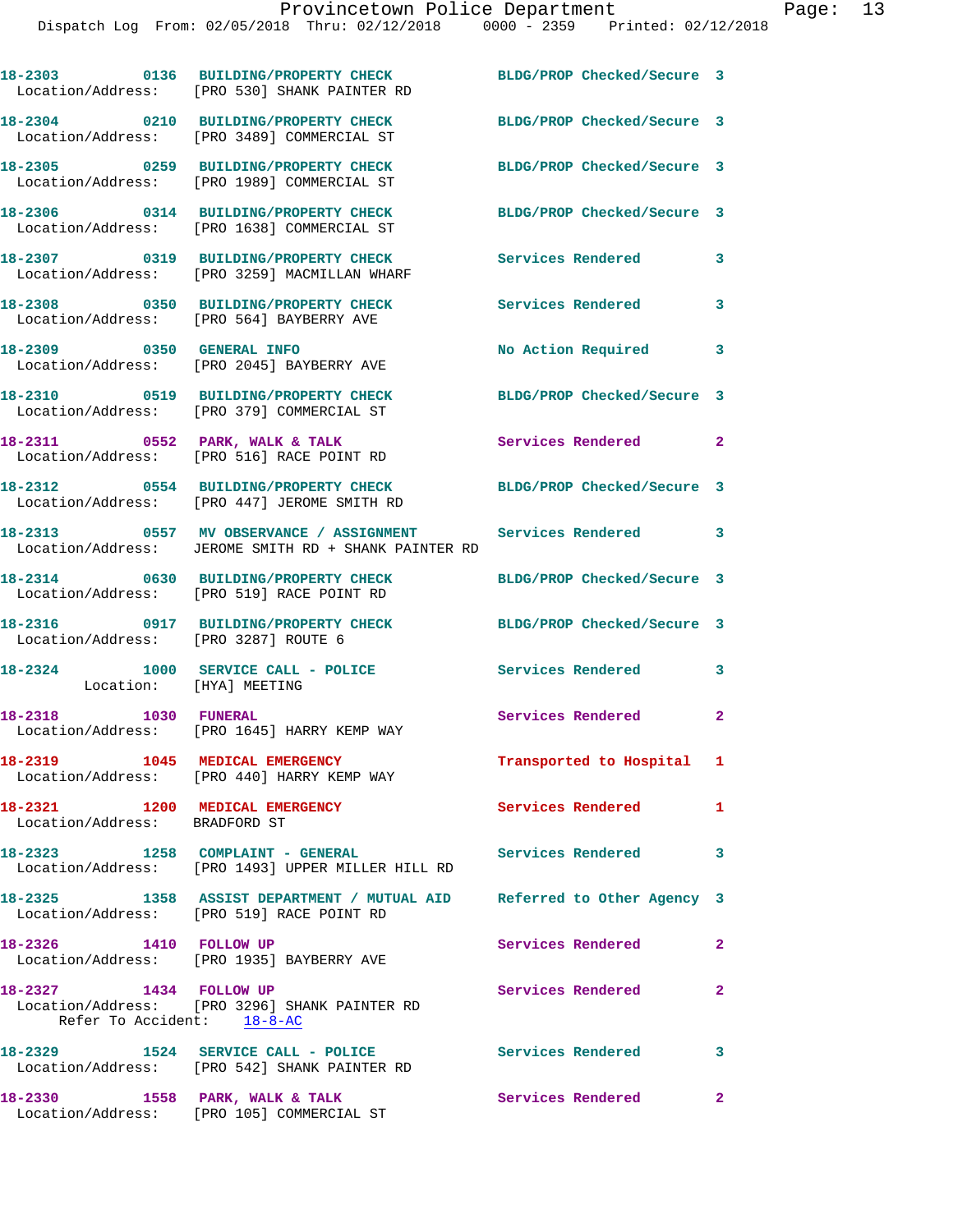Dispatch Log From: 02/05/2018 Thru: 02/12/2018 0000 - 2359 Printed: 02/12/2018

**18-2303 0136 BUILDING/PROPERTY CHECK BLDG/PROP Checked/Secure 3**  Location/Address: [PRO 530] SHANK PAINTER RD **18-2304 0210 BUILDING/PROPERTY CHECK BLDG/PROP Checked/Secure 3**  Location/Address: [PRO 3489] COMMERCIAL ST **18-2305 0259 BUILDING/PROPERTY CHECK BLDG/PROP Checked/Secure 3**  Location/Address: [PRO 1989] COMMERCIAL ST **18-2306 0314 BUILDING/PROPERTY CHECK BLDG/PROP Checked/Secure 3**  Location/Address: [PRO 1638] COMMERCIAL ST **18-2307 0319 BUILDING/PROPERTY CHECK Services Rendered 3**  Location/Address: [PRO 3259] MACMILLAN WHARF **18-2308 0350 BUILDING/PROPERTY CHECK Services Rendered 3**  Location/Address: [PRO 564] BAYBERRY AVE **18-2309 0350 GENERAL INFO No Action Required 3**  Location/Address: [PRO 2045] BAYBERRY AVE **18-2310 0519 BUILDING/PROPERTY CHECK BLDG/PROP Checked/Secure 3**  Location/Address: [PRO 379] COMMERCIAL ST **18-2311 0552 PARK, WALK & TALK Services Rendered 2**  Location/Address: [PRO 516] RACE POINT RD **18-2312 0554 BUILDING/PROPERTY CHECK BLDG/PROP Checked/Secure 3**  Location/Address: [PRO 447] JEROME SMITH RD **18-2313 0557 MV OBSERVANCE / ASSIGNMENT Services Rendered 3**  Location/Address: JEROME SMITH RD + SHANK PAINTER RD **18-2314 0630 BUILDING/PROPERTY CHECK BLDG/PROP Checked/Secure 3**  Location/Address: [PRO 519] RACE POINT RD **18-2316 0917 BUILDING/PROPERTY CHECK BLDG/PROP Checked/Secure 3**  Location/Address: [PRO 3287] ROUTE 6 **18-2324 1000 SERVICE CALL - POLICE Services Rendered 3**  Location: [HYA] MEETING 18-2318 1030 FUNERAL **1031 1031 1031 1032 1033 104** Services Rendered 2 Location/Address: [PRO 1645] HARRY KEMP WAY **18-2319 1045 MEDICAL EMERGENCY Transported to Hospital 1**  Location/Address: [PRO 440] HARRY KEMP WAY **18-2321 1200 MEDICAL EMERGENCY Services Rendered 1**  Location/Address: BRADFORD ST **18-2323 1258 COMPLAINT - GENERAL Services Rendered 3**  Location/Address: [PRO 1493] UPPER MILLER HILL RD **18-2325 1358 ASSIST DEPARTMENT / MUTUAL AID Referred to Other Agency 3**  Location/Address: [PRO 519] RACE POINT RD 18-2326 1410 FOLLOW UP **Services Rendered** 2 Location/Address: [PRO 1935] BAYBERRY AVE 18-2327 1434 FOLLOW UP Services Rendered 2 Location/Address: [PRO 3296] SHANK PAINTER RD Refer To Accident: 18-8-AC **18-2329 1524 SERVICE CALL - POLICE Services Rendered 3**  Location/Address: [PRO 542] SHANK PAINTER RD 18-2330 **1558 PARK, WALK & TALK Services Rendered** 2

Location/Address: [PRO 105] COMMERCIAL ST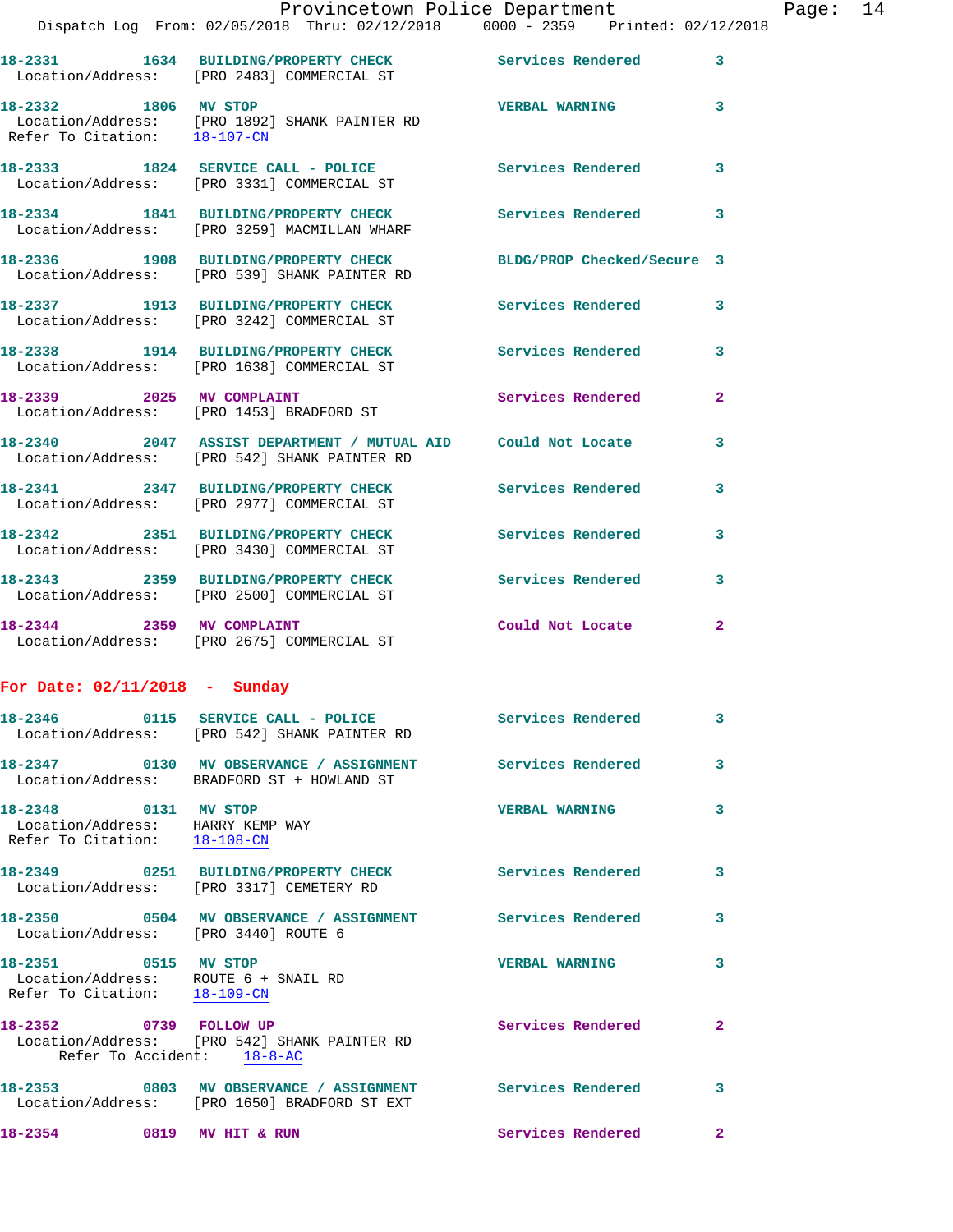|                                                                                              | Dispatch Log From: 02/05/2018 Thru: 02/12/2018 0000 - 2359 Printed: 02/12/2018                               | Provincetown Police Department |                | Page: 14 |  |
|----------------------------------------------------------------------------------------------|--------------------------------------------------------------------------------------------------------------|--------------------------------|----------------|----------|--|
|                                                                                              | 18-2331 1634 BUILDING/PROPERTY CHECK Services Rendered<br>Location/Address: [PRO 2483] COMMERCIAL ST         |                                | 3              |          |  |
| 18-2332 1806 MV STOP                                                                         | Location/Address: [PRO 1892] SHANK PAINTER RD<br>Refer To Citation: 18-107-CN                                | <b>VERBAL WARNING</b>          | 3              |          |  |
|                                                                                              | 18-2333 1824 SERVICE CALL - POLICE<br>Location/Address: [PRO 3331] COMMERCIAL ST                             | Services Rendered              | 3              |          |  |
|                                                                                              | 18-2334 1841 BUILDING/PROPERTY CHECK Services Rendered<br>Location/Address: [PRO 3259] MACMILLAN WHARF       |                                | 3              |          |  |
|                                                                                              | 18-2336 1908 BUILDING/PROPERTY CHECK<br>Location/Address: [PRO 539] SHANK PAINTER RD                         | BLDG/PROP Checked/Secure 3     |                |          |  |
|                                                                                              | 18-2337 1913 BUILDING/PROPERTY CHECK Services Rendered<br>Location/Address: [PRO 3242] COMMERCIAL ST         |                                | 3              |          |  |
|                                                                                              | 18-2338 1914 BUILDING/PROPERTY CHECK Services Rendered 3<br>Location/Address: [PRO 1638] COMMERCIAL ST       |                                |                |          |  |
|                                                                                              | 18-2339 2025 MV COMPLAINT<br>Location/Address: [PRO 1453] BRADFORD ST                                        | Services Rendered              | $\overline{2}$ |          |  |
|                                                                                              | 18-2340 2047 ASSIST DEPARTMENT / MUTUAL AID Could Not Locate<br>Location/Address: [PRO 542] SHANK PAINTER RD |                                | 3              |          |  |
|                                                                                              | 18-2341 2347 BUILDING/PROPERTY CHECK Services Rendered<br>Location/Address: [PRO 2977] COMMERCIAL ST         |                                | 3              |          |  |
|                                                                                              | 18-2342 2351 BUILDING/PROPERTY CHECK Services Rendered<br>Location/Address: [PRO 3430] COMMERCIAL ST         |                                | 3              |          |  |
|                                                                                              |                                                                                                              |                                | 3              |          |  |
|                                                                                              | 18-2344 2359 MV COMPLAINT<br>Location/Address: [PRO 2675] COMMERCIAL ST                                      | Could Not Locate               | $\mathbf{2}$   |          |  |
| For Date: $02/11/2018$ - Sunday                                                              |                                                                                                              |                                |                |          |  |
|                                                                                              | 18-2346  0115 SERVICE CALL - POLICE  Services Rendered<br>Location/Address: [PRO 542] SHANK PAINTER RD       |                                | 3              |          |  |
|                                                                                              | 18-2347   0130 MV OBSERVANCE / ASSIGNMENT   Services Rendered<br>Location/Address: BRADFORD ST + HOWLAND ST  |                                | 3              |          |  |
| 18-2348 0131 MV STOP<br>Location/Address: HARRY KEMP WAY<br>Refer To Citation: 18-108-CN     |                                                                                                              | <b>VERBAL WARNING</b>          | 3              |          |  |
|                                                                                              | 18-2349 0251 BUILDING/PROPERTY CHECK Services Rendered<br>Location/Address: [PRO 3317] CEMETERY RD           |                                | 3              |          |  |
| Location/Address: [PRO 3440] ROUTE 6                                                         | 18-2350 0504 MV OBSERVANCE / ASSIGNMENT Services Rendered                                                    |                                | 3              |          |  |
| 18-2351 0515 MV STOP<br>Location/Address: ROUTE 6 + SNAIL RD<br>Refer To Citation: 18-109-CN |                                                                                                              | <b>VERBAL WARNING</b>          | 3              |          |  |
| 18-2352 0739 FOLLOW UP<br>Refer To Accident: 18-8-AC                                         | Location/Address: [PRO 542] SHANK PAINTER RD                                                                 | Services Rendered              | $\mathbf{2}$   |          |  |
|                                                                                              | 18-2353 0803 MV OBSERVANCE / ASSIGNMENT Services Rendered<br>Location/Address: [PRO 1650] BRADFORD ST EXT    |                                | 3              |          |  |
| 18-2354 0819 MV HIT & RUN                                                                    |                                                                                                              | Services Rendered              | $\mathbf{2}$   |          |  |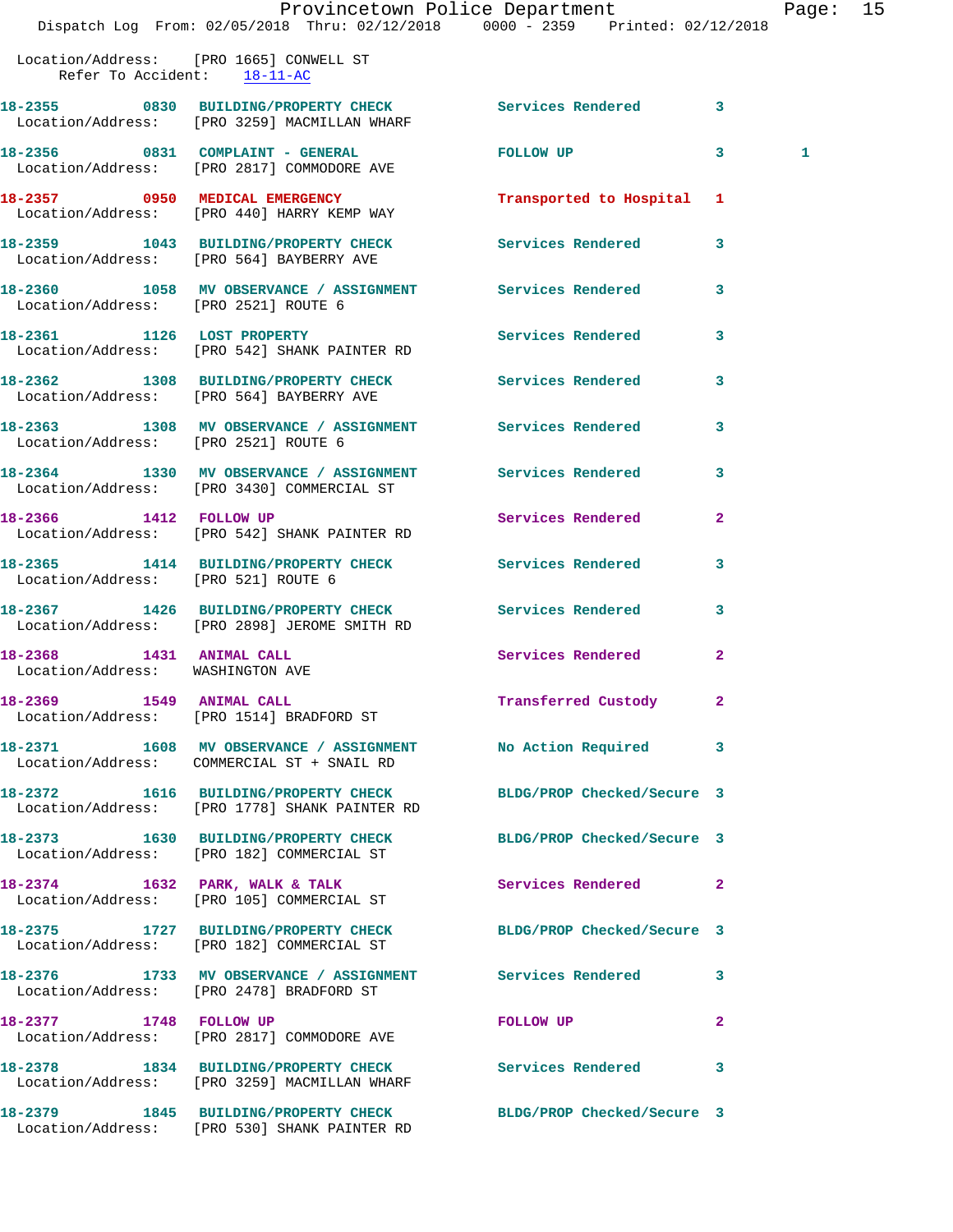|                                      | Dispatch Log From: 02/05/2018 Thru: 02/12/2018 0000 - 2359 Printed: 02/12/2018                               | Provincetown Police Department The Page: 15 |              |   |  |
|--------------------------------------|--------------------------------------------------------------------------------------------------------------|---------------------------------------------|--------------|---|--|
| Refer To Accident: 18-11-AC          | Location/Address: [PRO 1665] CONWELL ST                                                                      |                                             |              |   |  |
|                                      | 18-2355 0830 BUILDING/PROPERTY CHECK Services Rendered 3<br>Location/Address: [PRO 3259] MACMILLAN WHARF     |                                             |              |   |  |
|                                      | 18-2356 0831 COMPLAINT - GENERAL FOLLOW UP 3<br>Location/Address: [PRO 2817] COMMODORE AVE                   |                                             |              | 1 |  |
|                                      | 18-2357 0950 MEDICAL EMERGENCY<br>Location/Address: [PRO 440] HARRY KEMP WAY                                 | Transported to Hospital 1                   |              |   |  |
|                                      | 18-2359 1043 BUILDING/PROPERTY CHECK Services Rendered 3<br>Location/Address: [PRO 564] BAYBERRY AVE         |                                             |              |   |  |
|                                      | 18-2360 1058 MV OBSERVANCE / ASSIGNMENT Services Rendered 3<br>Location/Address: [PRO 2521] ROUTE 6          |                                             |              |   |  |
|                                      | 18-2361 1126 LOST PROPERTY<br>Location/Address: [PRO 542] SHANK PAINTER RD                                   | Services Rendered                           | $\mathbf{3}$ |   |  |
|                                      | 18-2362 1308 BUILDING/PROPERTY CHECK Services Rendered 3<br>Location/Address: [PRO 564] BAYBERRY AVE         |                                             |              |   |  |
| Location/Address: [PRO 2521] ROUTE 6 | 18-2363 1308 MV OBSERVANCE / ASSIGNMENT Services Rendered 3                                                  |                                             |              |   |  |
|                                      | 18-2364 1330 MV OBSERVANCE / ASSIGNMENT Services Rendered 3<br>Location/Address: [PRO 3430] COMMERCIAL ST    |                                             |              |   |  |
|                                      | 18-2366 1412 FOLLOW UP<br>Location/Address: [PRO 542] SHANK PAINTER RD                                       | Services Rendered                           | $\mathbf{2}$ |   |  |
| Location/Address: [PRO 521] ROUTE 6  | 18-2365 1414 BUILDING/PROPERTY CHECK Services Rendered 3                                                     |                                             |              |   |  |
|                                      | 18-2367 1426 BUILDING/PROPERTY CHECK Services Rendered<br>Location/Address: [PRO 2898] JEROME SMITH RD       |                                             | $\mathbf{3}$ |   |  |
| 1431 ANIMAL CALL<br>18-2368          | Location/Address: WASHINGTON AVE                                                                             | Services Rendered 2                         |              |   |  |
|                                      | 18-2369 1549 ANIMAL CALL<br>Location/Address: [PRO 1514] BRADFORD ST                                         | Transferred Custody 2                       |              |   |  |
|                                      | 18-2371 1608 MV OBSERVANCE / ASSIGNMENT<br>Location/Address: COMMERCIAL ST + SNAIL RD                        | No Action Required 3                        |              |   |  |
|                                      | 1616 BUILDING/PROPERTY CHECK BLDG/PROP Checked/Secure 3<br>Location/Address: [PRO 1778] SHANK PAINTER RD     |                                             |              |   |  |
|                                      | 18-2373 1630 BUILDING/PROPERTY CHECK<br>Location/Address: [PRO 182] COMMERCIAL ST                            | BLDG/PROP Checked/Secure 3                  |              |   |  |
|                                      | 18-2374 1632 PARK, WALK & TALK<br>Location/Address: [PRO 105] COMMERCIAL ST                                  | Services Rendered 2                         |              |   |  |
|                                      | 18-2375 1727 BUILDING/PROPERTY CHECK BLDG/PROP Checked/Secure 3<br>Location/Address: [PRO 182] COMMERCIAL ST |                                             |              |   |  |
|                                      | 18-2376 1733 MV OBSERVANCE / ASSIGNMENT Services Rendered 3<br>Location/Address: [PRO 2478] BRADFORD ST      |                                             |              |   |  |
| 18-2377 1748 FOLLOW UP               | Location/Address: [PRO 2817] COMMODORE AVE                                                                   | FOLLOW UP                                   | $\mathbf{2}$ |   |  |

**18-2378 1834 BUILDING/PROPERTY CHECK Services Rendered 3**  Location/Address: [PRO 3259] MACMILLAN WHARF

**18-2379 1845 BUILDING/PROPERTY CHECK BLDG/PROP Checked/Secure 3**  Location/Address: [PRO 530] SHANK PAINTER RD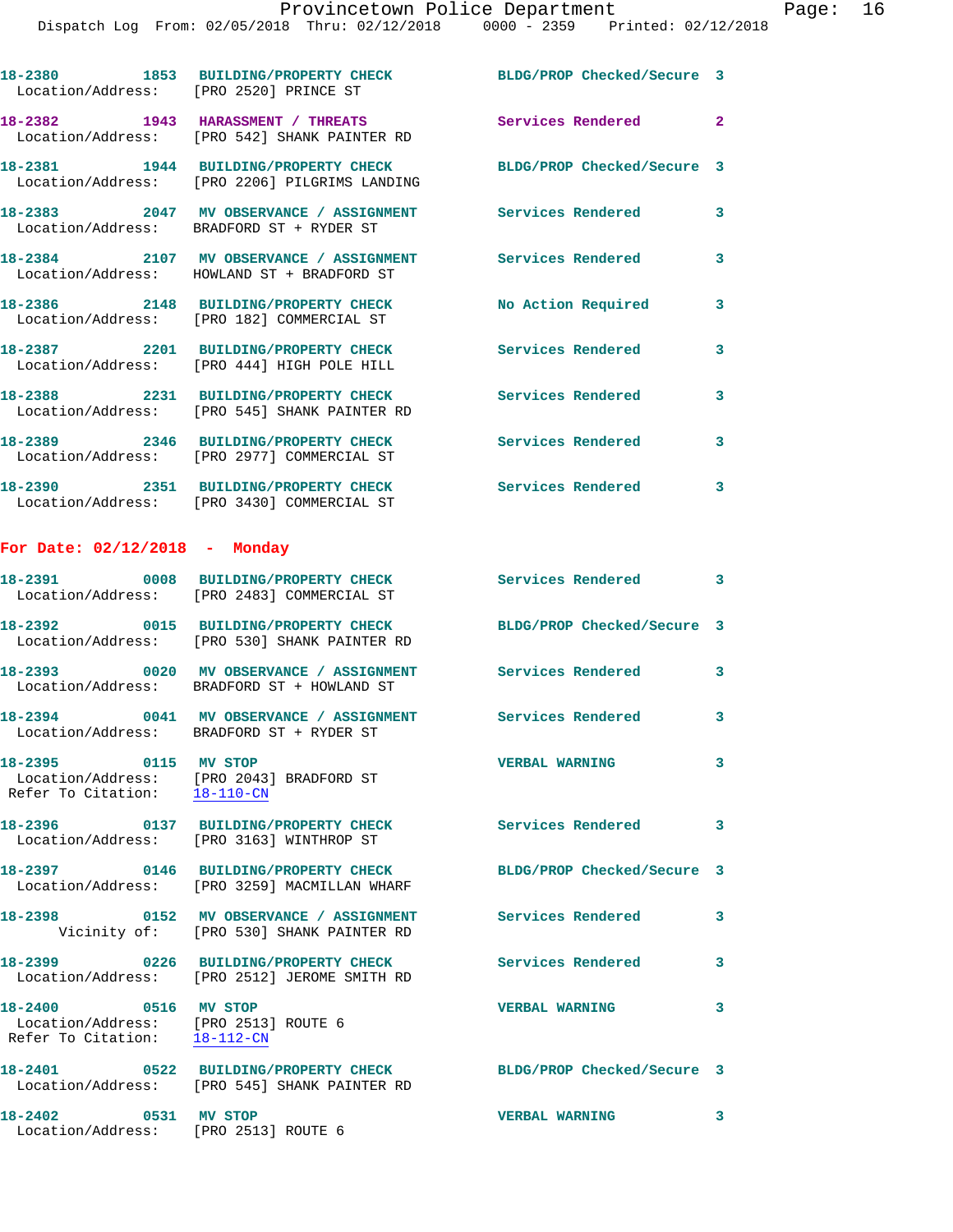| Location/Address: [PRO 2520] PRINCE ST | 18-2380 1853 BUILDING/PROPERTY CHECK BLDG/PROP Checked/Secure 3                       |                                      |                         |
|----------------------------------------|---------------------------------------------------------------------------------------|--------------------------------------|-------------------------|
|                                        | 18-2382 1943 HARASSMENT / THREATS<br>Location/Address: [PRO 542] SHANK PAINTER RD     | <b>Services Rendered</b><br>$\sim$ 2 |                         |
|                                        | 18-2381 1944 BUILDING/PROPERTY CHECK<br>Location/Address: [PRO 2206] PILGRIMS LANDING | BLDG/PROP Checked/Secure 3           |                         |
|                                        | 18-2383 2047 MV OBSERVANCE / ASSIGNMENT<br>Location/Address: BRADFORD ST + RYDER ST   | <b>Services Rendered</b>             | 3                       |
|                                        | 18-2384 2107 MV OBSERVANCE / ASSIGNMENT<br>Location/Address: HOWLAND ST + BRADFORD ST | <b>Services Rendered</b>             | 3                       |
|                                        | 18-2386 2148 BUILDING/PROPERTY CHECK<br>Location/Address: [PRO 182] COMMERCIAL ST     | No Action Required                   | 3                       |
|                                        | 18-2387 2201 BUILDING/PROPERTY CHECK<br>Location/Address: [PRO 444] HIGH POLE HILL    | <b>Services Rendered</b>             | 3                       |
|                                        | 18-2388 2231 BUILDING/PROPERTY CHECK<br>Location/Address: [PRO 545] SHANK PAINTER RD  | Services Rendered                    | 3                       |
|                                        | 18-2389 2346 BUILDING/PROPERTY CHECK<br>Location/Address: [PRO 2977] COMMERCIAL ST    | <b>Services Rendered</b>             | 3                       |
|                                        | 18-2390 2351 BUILDING/PROPERTY CHECK<br>Location/Address: [PRO 3430] COMMERCIAL ST    | <b>Services Rendered</b>             | 3                       |
| For Date: $02/12/2018$ - Monday        |                                                                                       |                                      |                         |
|                                        | 18-2391 0008 BUILDING/PROPERTY CHECK<br>Location/Address: [PRO 2483] COMMERCIAL ST    | <b>Services Rendered</b> 3           |                         |
|                                        | 18-2392 0015 BUILDING/PROPERTY CHECK<br>Location/Address: [PRO 530] SHANK PAINTER RD  | BLDG/PROP Checked/Secure 3           |                         |
|                                        | 18-2393 0020 MV OBSERVANCE / ASSIGNMENT<br>Location/Address: BRADFORD ST + HOWLAND ST | Services Rendered                    | $\overline{\mathbf{3}}$ |
|                                        |                                                                                       |                                      |                         |

Location/Address: BRADFORD ST + RYDER ST

 Location/Address: [PRO 2043] BRADFORD ST Refer To Citation: 18-110-CN

Location/Address: [PRO 3163] WINTHROP ST

**18-2397 0146 BUILDING/PROPERTY CHECK BLDG/PROP Checked/Secure 3**  Location/Address: [PRO 3259] MACMILLAN WHARF

**18-2398 0152 MV OBSERVANCE / ASSIGNMENT Services Rendered 3**  Vicinity of: [PRO 530] SHANK PAINTER RD

Location/Address: [PRO 2512] JEROME SMITH RD

 Location/Address: [PRO 2513] ROUTE 6 Refer To Citation: 18-112-CN

**18-2401 0522 BUILDING/PROPERTY CHECK BLDG/PROP Checked/Secure 3**  Location/Address: [PRO 545] SHANK PAINTER RD **18-2402 0531 MV STOP VERBAL WARNING 3** 

Location/Address: [PRO 2513] ROUTE 6

**18-2394 0041 MV OBSERVANCE / ASSIGNMENT Services Rendered 3 18-2395 0115 MV STOP VERBAL WARNING 3** 

**18-2396 0137 BUILDING/PROPERTY CHECK Services Rendered 3** 

**18-2399 0226 BUILDING/PROPERTY CHECK Services Rendered 3** 

**18-2400 0516 MV STOP VERBAL WARNING 3**